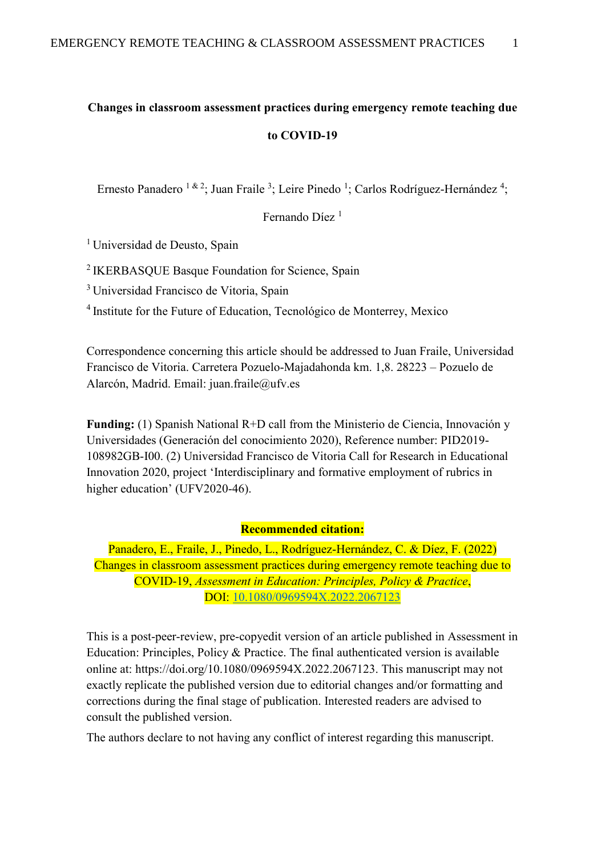# **Changes in classroom assessment practices during emergency remote teaching due to COVID-19**

Ernesto Panadero <sup>1 & 2</sup>; Juan Fraile <sup>3</sup>; Leire Pinedo <sup>1</sup>; Carlos Rodríguez-Hernández <sup>4</sup>;

Fernando Díez<sup>1</sup>

<sup>1</sup> Universidad de Deusto, Spain

<sup>2</sup> IKERBASQUE Basque Foundation for Science, Spain

<sup>3</sup>Universidad Francisco de Vitoria, Spain

<sup>4</sup>Institute for the Future of Education, Tecnológico de Monterrey, Mexico

Correspondence concerning this article should be addressed to Juan Fraile, Universidad Francisco de Vitoria. Carretera Pozuelo-Majadahonda km. 1,8. 28223 – Pozuelo de Alarcón, Madrid. Email: juan.fraile@ufv.es

**Funding:** (1) Spanish National R+D call from the Ministerio de Ciencia, Innovación y Universidades (Generación del conocimiento 2020), Reference number: PID2019- 108982GB-I00. (2) Universidad Francisco de Vitoria Call for Research in Educational Innovation 2020, project 'Interdisciplinary and formative employment of rubrics in higher education' (UFV2020-46).

#### **Recommended citation:**

Panadero, E., Fraile, J., Pinedo, L., Rodríguez-Hernández, C. & Díez, F. (2022) Changes in classroom assessment practices during emergency remote teaching due to COVID-19, *Assessment in Education: Principles, Policy & Practice*, DOI:<10.1080/0969594X.2022.2067123>

This is a post-peer-review, pre-copyedit version of an article published in Assessment in Education: Principles, Policy & Practice. The final authenticated version is available online at: https://doi.org/10.1080/0969594X.2022.2067123. This manuscript may not exactly replicate the published version due to editorial changes and/or formatting and corrections during the final stage of publication. Interested readers are advised to consult the published version.

The authors declare to not having any conflict of interest regarding this manuscript.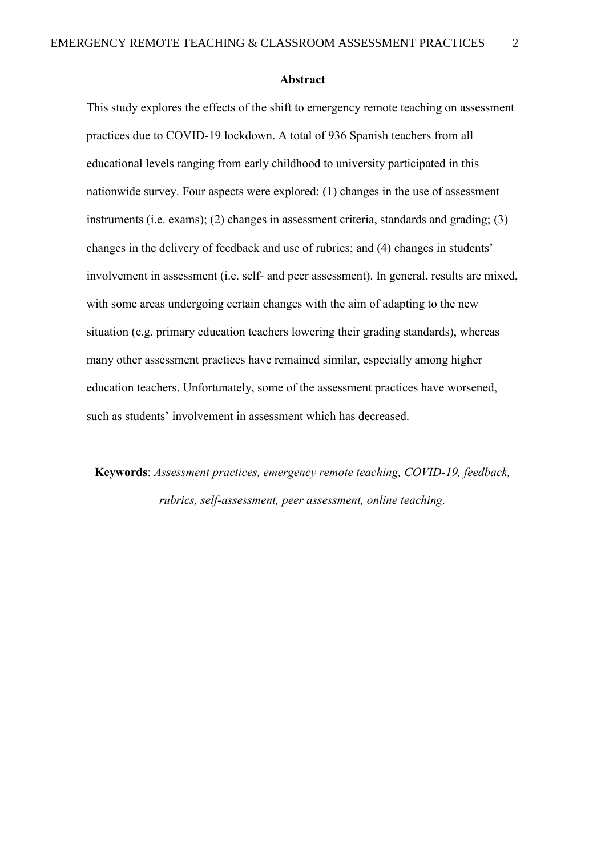#### **Abstract**

This study explores the effects of the shift to emergency remote teaching on assessment practices due to COVID-19 lockdown. A total of 936 Spanish teachers from all educational levels ranging from early childhood to university participated in this nationwide survey. Four aspects were explored: (1) changes in the use of assessment instruments (i.e. exams); (2) changes in assessment criteria, standards and grading; (3) changes in the delivery of feedback and use of rubrics; and (4) changes in students' involvement in assessment (i.e. self- and peer assessment). In general, results are mixed, with some areas undergoing certain changes with the aim of adapting to the new situation (e.g. primary education teachers lowering their grading standards), whereas many other assessment practices have remained similar, especially among higher education teachers. Unfortunately, some of the assessment practices have worsened, such as students' involvement in assessment which has decreased.

**Keywords**: *Assessment practices, emergency remote teaching, COVID-19, feedback, rubrics, self-assessment, peer assessment, online teaching.*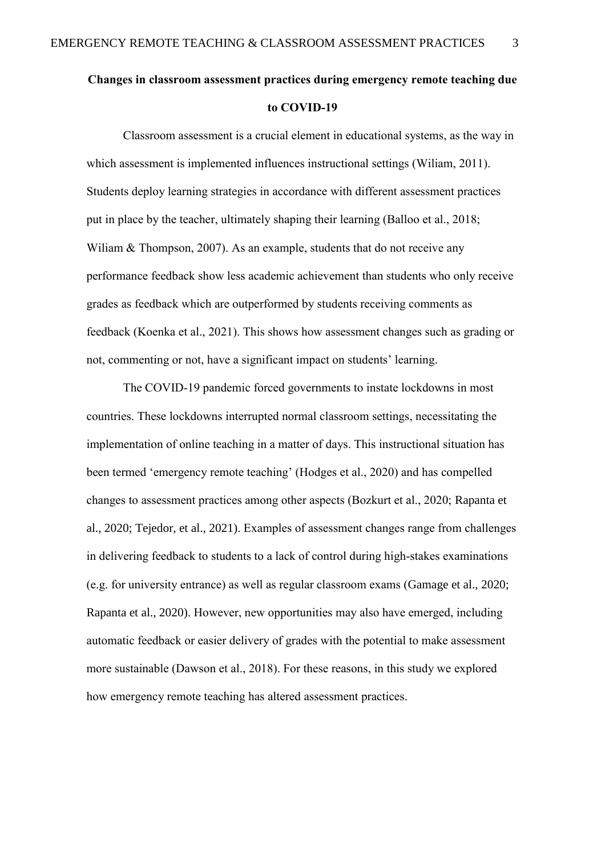# **Changes in classroom assessment practices during emergency remote teaching due to COVID-19**

Classroom assessment is a crucial element in educational systems, as the way in which assessment is implemented influences instructional settings (Wiliam, 2011). Students deploy learning strategies in accordance with different assessment practices put in place by the teacher, ultimately shaping their learning (Balloo et al., 2018; Wiliam & Thompson, 2007). As an example, students that do not receive any performance feedback show less academic achievement than students who only receive grades as feedback which are outperformed by students receiving comments as feedback (Koenka et al., 2021). This shows how assessment changes such as grading or not, commenting or not, have a significant impact on students' learning.

The COVID-19 pandemic forced governments to instate lockdowns in most countries. These lockdowns interrupted normal classroom settings, necessitating the implementation of online teaching in a matter of days. This instructional situation has been termed 'emergency remote teaching' (Hodges et al., 2020) and has compelled changes to assessment practices among other aspects (Bozkurt et al., 2020; Rapanta et al., 2020; Tejedor, et al., 2021). Examples of assessment changes range from challenges in delivering feedback to students to a lack of control during high-stakes examinations (e.g. for university entrance) as well as regular classroom exams (Gamage et al., 2020; Rapanta et al., 2020). However, new opportunities may also have emerged, including automatic feedback or easier delivery of grades with the potential to make assessment more sustainable (Dawson et al., 2018). For these reasons, in this study we explored how emergency remote teaching has altered assessment practices.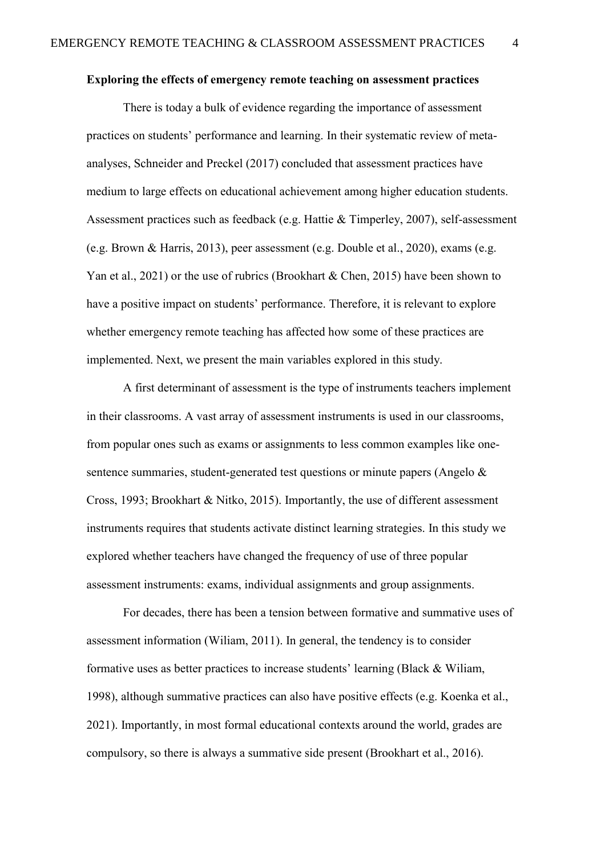### **Exploring the effects of emergency remote teaching on assessment practices**

There is today a bulk of evidence regarding the importance of assessment practices on students' performance and learning. In their systematic review of metaanalyses, Schneider and Preckel (2017) concluded that assessment practices have medium to large effects on educational achievement among higher education students. Assessment practices such as feedback (e.g. Hattie & Timperley, 2007), self-assessment (e.g. Brown & Harris, 2013), peer assessment (e.g. Double et al., 2020), exams (e.g. Yan et al., 2021) or the use of rubrics (Brookhart & Chen, 2015) have been shown to have a positive impact on students' performance. Therefore, it is relevant to explore whether emergency remote teaching has affected how some of these practices are implemented. Next, we present the main variables explored in this study.

A first determinant of assessment is the type of instruments teachers implement in their classrooms. A vast array of assessment instruments is used in our classrooms, from popular ones such as exams or assignments to less common examples like onesentence summaries, student-generated test questions or minute papers (Angelo & Cross, 1993; Brookhart & Nitko, 2015). Importantly, the use of different assessment instruments requires that students activate distinct learning strategies. In this study we explored whether teachers have changed the frequency of use of three popular assessment instruments: exams, individual assignments and group assignments.

For decades, there has been a tension between formative and summative uses of assessment information (Wiliam, 2011). In general, the tendency is to consider formative uses as better practices to increase students' learning (Black & Wiliam, 1998), although summative practices can also have positive effects (e.g. Koenka et al., 2021). Importantly, in most formal educational contexts around the world, grades are compulsory, so there is always a summative side present (Brookhart et al., 2016).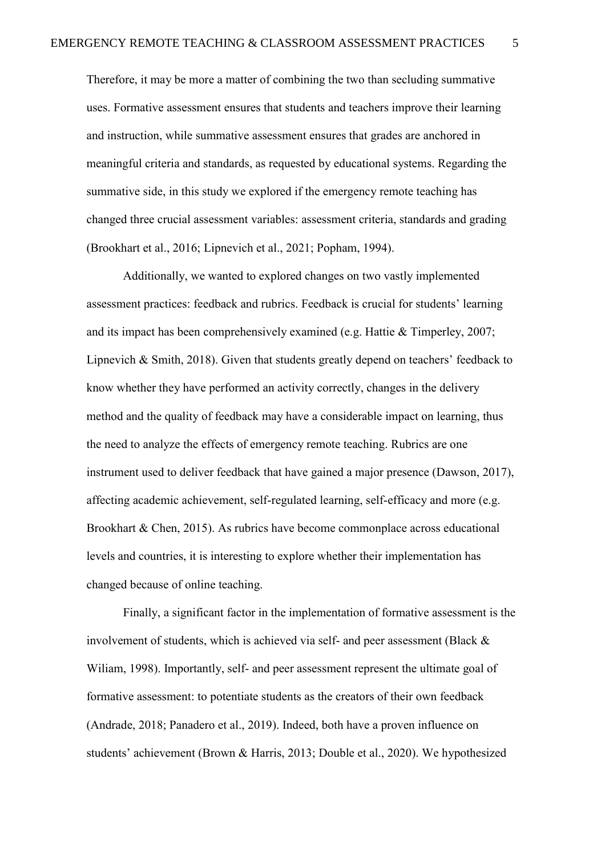Therefore, it may be more a matter of combining the two than secluding summative uses. Formative assessment ensures that students and teachers improve their learning and instruction, while summative assessment ensures that grades are anchored in meaningful criteria and standards, as requested by educational systems. Regarding the summative side, in this study we explored if the emergency remote teaching has changed three crucial assessment variables: assessment criteria, standards and grading (Brookhart et al., 2016; Lipnevich et al., 2021; Popham, 1994).

Additionally, we wanted to explored changes on two vastly implemented assessment practices: feedback and rubrics. Feedback is crucial for students' learning and its impact has been comprehensively examined (e.g. Hattie & Timperley, 2007; Lipnevich & Smith, 2018). Given that students greatly depend on teachers' feedback to know whether they have performed an activity correctly, changes in the delivery method and the quality of feedback may have a considerable impact on learning, thus the need to analyze the effects of emergency remote teaching. Rubrics are one instrument used to deliver feedback that have gained a major presence (Dawson, 2017), affecting academic achievement, self-regulated learning, self-efficacy and more (e.g. Brookhart & Chen, 2015). As rubrics have become commonplace across educational levels and countries, it is interesting to explore whether their implementation has changed because of online teaching.

Finally, a significant factor in the implementation of formative assessment is the involvement of students, which is achieved via self- and peer assessment (Black & Wiliam, 1998). Importantly, self- and peer assessment represent the ultimate goal of formative assessment: to potentiate students as the creators of their own feedback (Andrade, 2018; Panadero et al., 2019). Indeed, both have a proven influence on students' achievement (Brown & Harris, 2013; Double et al., 2020). We hypothesized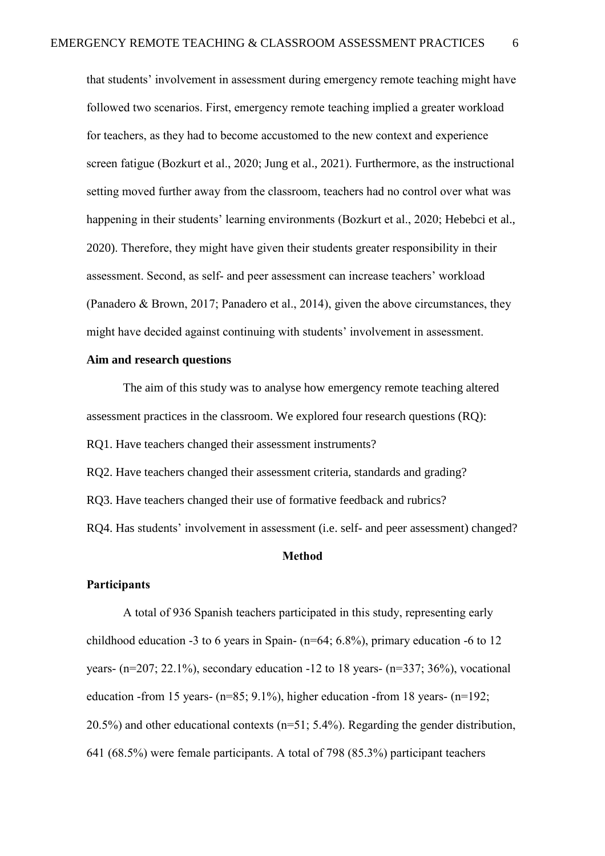that students' involvement in assessment during emergency remote teaching might have followed two scenarios. First, emergency remote teaching implied a greater workload for teachers, as they had to become accustomed to the new context and experience screen fatigue (Bozkurt et al., 2020; Jung et al., 2021). Furthermore, as the instructional setting moved further away from the classroom, teachers had no control over what was happening in their students' learning environments (Bozkurt et al., 2020; Hebebci et al., 2020). Therefore, they might have given their students greater responsibility in their assessment. Second, as self- and peer assessment can increase teachers' workload (Panadero & Brown, 2017; Panadero et al., 2014), given the above circumstances, they might have decided against continuing with students' involvement in assessment.

#### **Aim and research questions**

The aim of this study was to analyse how emergency remote teaching altered assessment practices in the classroom. We explored four research questions (RQ):

RQ1. Have teachers changed their assessment instruments?

RQ2. Have teachers changed their assessment criteria, standards and grading?

RQ3. Have teachers changed their use of formative feedback and rubrics?

RQ4. Has students' involvement in assessment (i.e. self- and peer assessment) changed?

#### **Method**

#### **Participants**

A total of 936 Spanish teachers participated in this study, representing early childhood education -3 to 6 years in Spain- (n=64; 6.8%), primary education -6 to 12 years- (n=207; 22.1%), secondary education -12 to 18 years- (n=337; 36%), vocational education -from 15 years- (n=85; 9.1%), higher education -from 18 years- (n=192; 20.5%) and other educational contexts (n=51; 5.4%). Regarding the gender distribution, 641 (68.5%) were female participants. A total of 798 (85.3%) participant teachers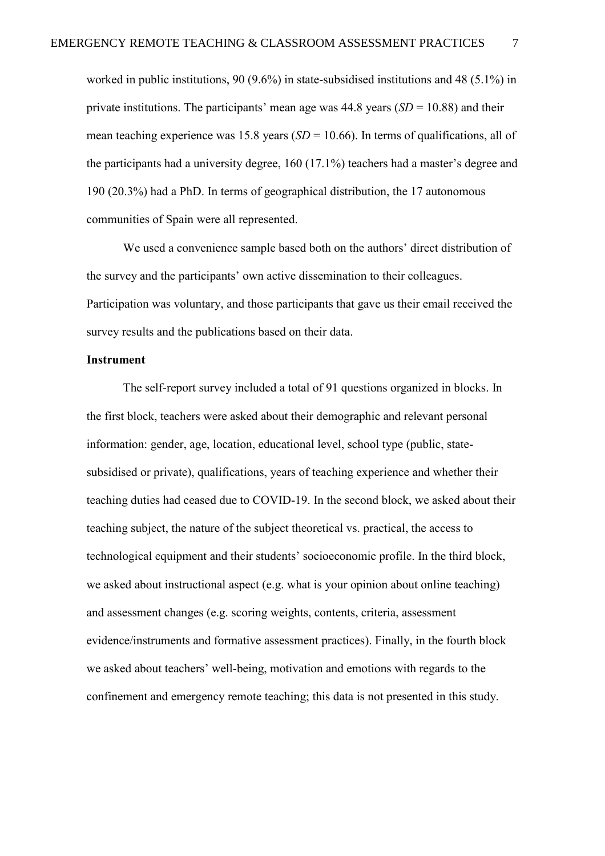worked in public institutions, 90 (9.6%) in state-subsidised institutions and 48 (5.1%) in private institutions. The participants' mean age was  $44.8$  years  $(SD = 10.88)$  and their mean teaching experience was 15.8 years (*SD* = 10.66). In terms of qualifications, all of the participants had a university degree, 160 (17.1%) teachers had a master's degree and 190 (20.3%) had a PhD. In terms of geographical distribution, the 17 autonomous communities of Spain were all represented.

We used a convenience sample based both on the authors' direct distribution of the survey and the participants' own active dissemination to their colleagues. Participation was voluntary, and those participants that gave us their email received the survey results and the publications based on their data.

#### **Instrument**

The self-report survey included a total of 91 questions organized in blocks. In the first block, teachers were asked about their demographic and relevant personal information: gender, age, location, educational level, school type (public, statesubsidised or private), qualifications, years of teaching experience and whether their teaching duties had ceased due to COVID-19. In the second block, we asked about their teaching subject, the nature of the subject theoretical vs. practical, the access to technological equipment and their students' socioeconomic profile. In the third block, we asked about instructional aspect (e.g. what is your opinion about online teaching) and assessment changes (e.g. scoring weights, contents, criteria, assessment evidence/instruments and formative assessment practices). Finally, in the fourth block we asked about teachers' well-being, motivation and emotions with regards to the confinement and emergency remote teaching; this data is not presented in this study.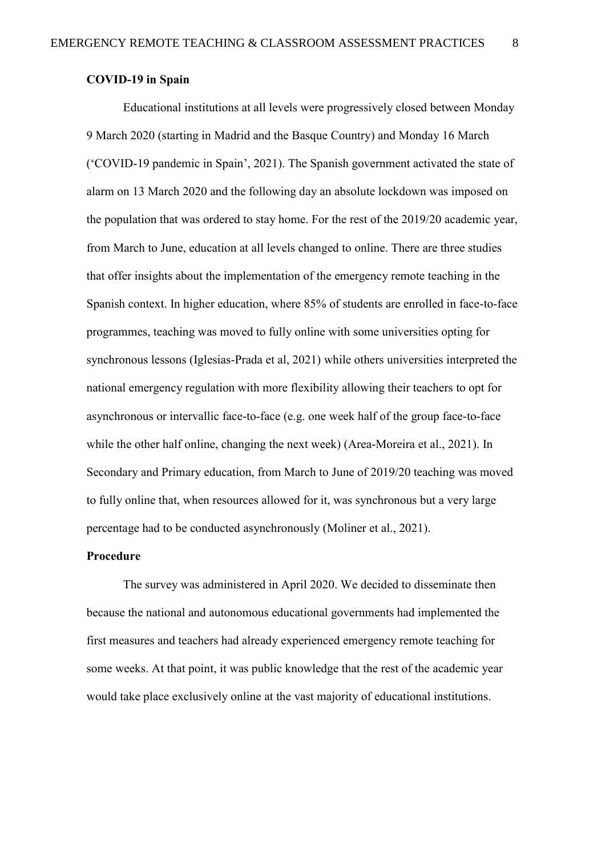### **COVID-19 in Spain**

Educational institutions at all levels were progressively closed between Monday 9 March 2020 (starting in Madrid and the Basque Country) and Monday 16 March ('COVID-19 pandemic in Spain', 2021). The Spanish government activated the state of alarm on 13 March 2020 and the following day an absolute lockdown was imposed on the population that was ordered to stay home. For the rest of the 2019/20 academic year, from March to June, education at all levels changed to online. There are three studies that offer insights about the implementation of the emergency remote teaching in the Spanish context. In higher education, where 85% of students are enrolled in face-to-face programmes, teaching was moved to fully online with some universities opting for synchronous lessons (Iglesias-Prada et al, 2021) while others universities interpreted the national emergency regulation with more flexibility allowing their teachers to opt for asynchronous or intervallic face-to-face (e.g. one week half of the group face-to-face while the other half online, changing the next week) (Area-Moreira et al., 2021). In Secondary and Primary education, from March to June of 2019/20 teaching was moved to fully online that, when resources allowed for it, was synchronous but a very large percentage had to be conducted asynchronously (Moliner et al., 2021).

#### **Procedure**

The survey was administered in April 2020. We decided to disseminate then because the national and autonomous educational governments had implemented the first measures and teachers had already experienced emergency remote teaching for some weeks. At that point, it was public knowledge that the rest of the academic year would take place exclusively online at the vast majority of educational institutions.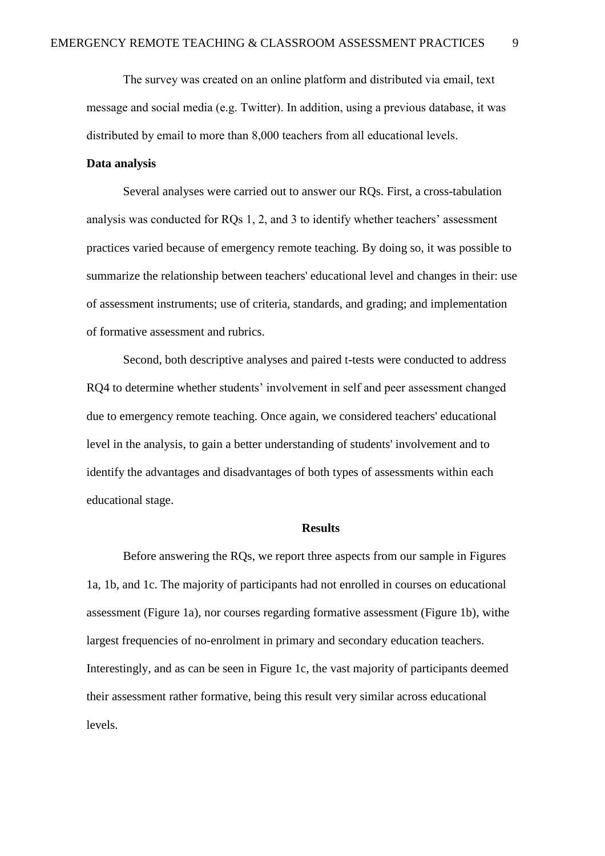The survey was created on an online platform and distributed via email, text message and social media (e.g. Twitter). In addition, using a previous database, it was distributed by email to more than 8,000 teachers from all educational levels.

#### **Data analysis**

Several analyses were carried out to answer our RQs. First, a cross-tabulation analysis was conducted for RQs 1, 2, and 3 to identify whether teachers' assessment practices varied because of emergency remote teaching. By doing so, it was possible to summarize the relationship between teachers' educational level and changes in their: use of assessment instruments; use of criteria, standards, and grading; and implementation of formative assessment and rubrics.

Second, both descriptive analyses and paired t-tests were conducted to address RQ4 to determine whether students' involvement in self and peer assessment changed due to emergency remote teaching. Once again, we considered teachers' educational level in the analysis, to gain a better understanding of students' involvement and to identify the advantages and disadvantages of both types of assessments within each educational stage.

#### **Results**

Before answering the RQs, we report three aspects from our sample in Figures 1a, 1b, and 1c. The majority of participants had not enrolled in courses on educational assessment (Figure 1a), nor courses regarding formative assessment (Figure 1b), withe largest frequencies of no-enrolment in primary and secondary education teachers. Interestingly, and as can be seen in Figure 1c, the vast majority of participants deemed their assessment rather formative, being this result very similar across educational levels.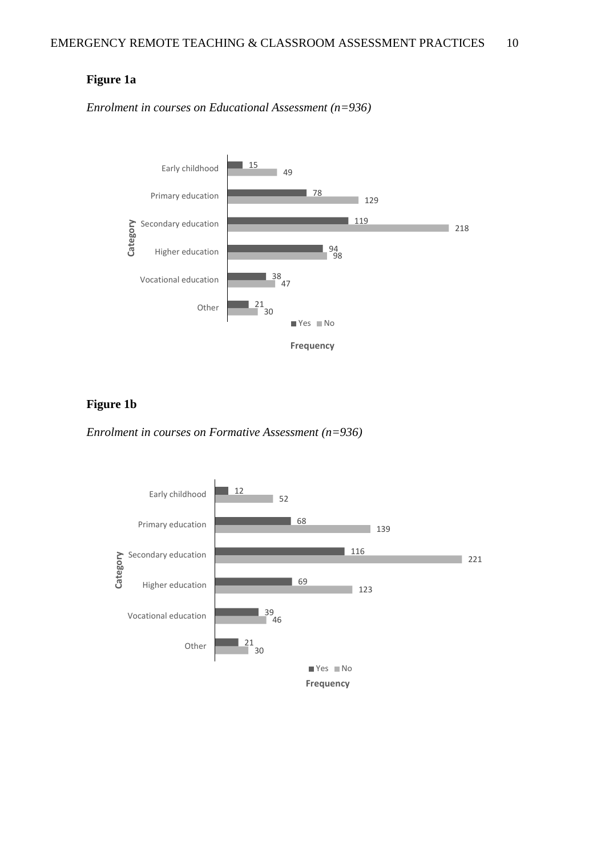### **Figure 1a**

*Enrolment in courses on Educational Assessment (n=936)*



## **Figure 1b**

*Enrolment in courses on Formative Assessment (n=936)*

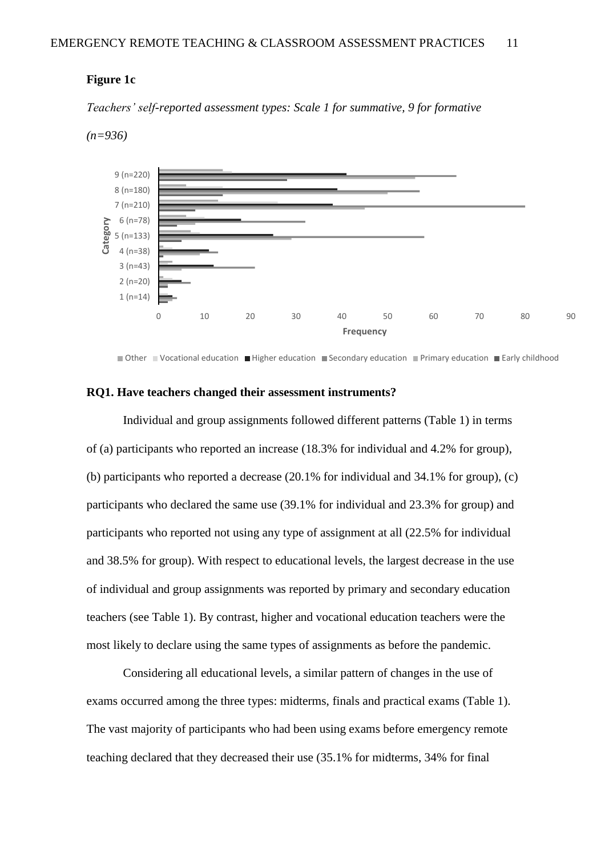#### **Figure 1c**

*Teachers' self-reported assessment types: Scale 1 for summative, 9 for formative* 



*(n=936)*

Other Vocational education Higher education Secondary education Primary education Early childhood

#### **RQ1. Have teachers changed their assessment instruments?**

Individual and group assignments followed different patterns (Table 1) in terms of (a) participants who reported an increase (18.3% for individual and 4.2% for group), (b) participants who reported a decrease (20.1% for individual and 34.1% for group), (c) participants who declared the same use (39.1% for individual and 23.3% for group) and participants who reported not using any type of assignment at all (22.5% for individual and 38.5% for group). With respect to educational levels, the largest decrease in the use of individual and group assignments was reported by primary and secondary education teachers (see Table 1). By contrast, higher and vocational education teachers were the most likely to declare using the same types of assignments as before the pandemic.

Considering all educational levels, a similar pattern of changes in the use of exams occurred among the three types: midterms, finals and practical exams (Table 1). The vast majority of participants who had been using exams before emergency remote teaching declared that they decreased their use (35.1% for midterms, 34% for final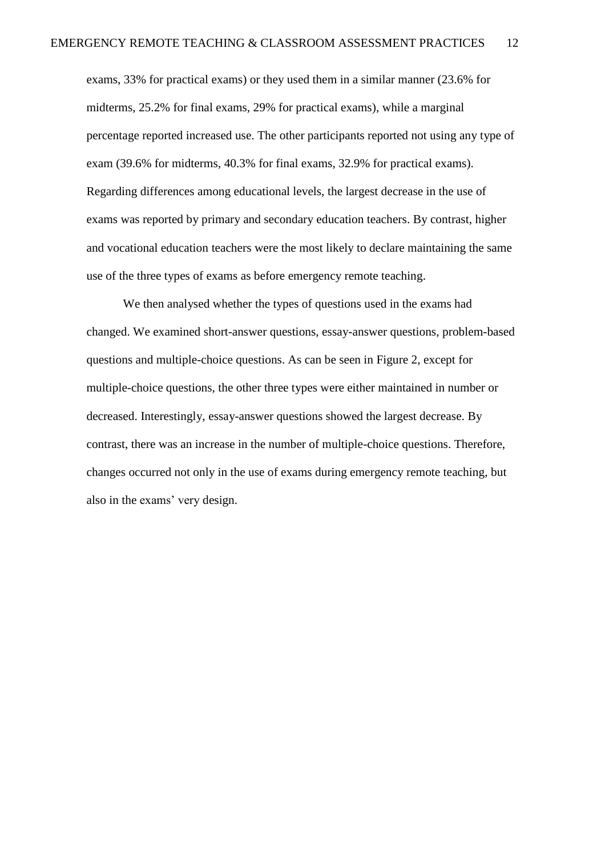exams, 33% for practical exams) or they used them in a similar manner (23.6% for midterms, 25.2% for final exams, 29% for practical exams), while a marginal percentage reported increased use. The other participants reported not using any type of exam (39.6% for midterms, 40.3% for final exams, 32.9% for practical exams). Regarding differences among educational levels, the largest decrease in the use of exams was reported by primary and secondary education teachers. By contrast, higher and vocational education teachers were the most likely to declare maintaining the same use of the three types of exams as before emergency remote teaching.

We then analysed whether the types of questions used in the exams had changed. We examined short-answer questions, essay-answer questions, problem-based questions and multiple-choice questions. As can be seen in Figure 2, except for multiple-choice questions, the other three types were either maintained in number or decreased. Interestingly, essay-answer questions showed the largest decrease. By contrast, there was an increase in the number of multiple-choice questions. Therefore, changes occurred not only in the use of exams during emergency remote teaching, but also in the exams' very design.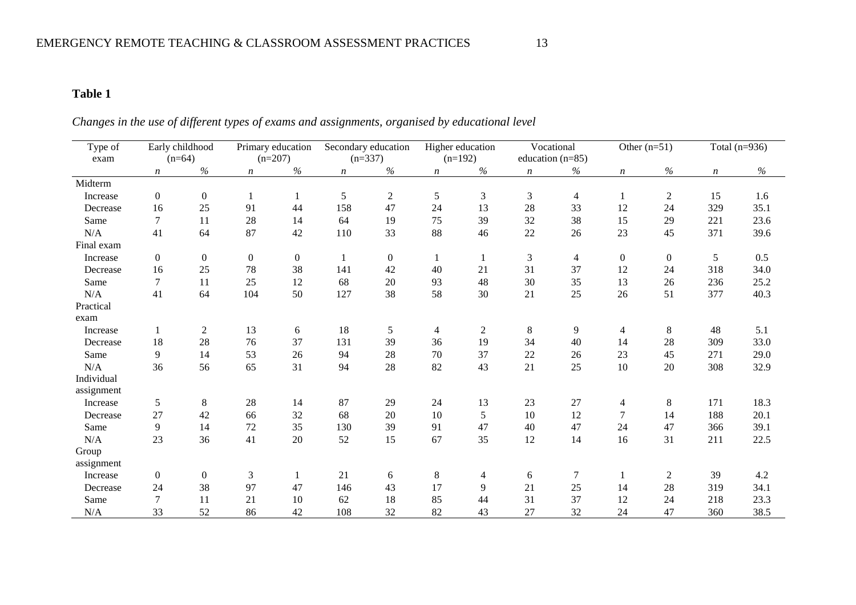# **Table 1**

# *Changes in the use of different types of exams and assignments, organised by educational level*

| Type of    |                  | Early childhood<br>Primary education |                  |                  | Secondary education |                  | Higher education |                  | Vocational       |                    | Other $(n=51)$   | Total $(n=936)$ |                  |      |
|------------|------------------|--------------------------------------|------------------|------------------|---------------------|------------------|------------------|------------------|------------------|--------------------|------------------|-----------------|------------------|------|
| exam       |                  | $(n=64)$                             |                  | $(n=207)$        |                     | $(n=337)$        |                  | $(n=192)$        |                  | education $(n=85)$ |                  |                 |                  |      |
|            | $\boldsymbol{n}$ | $\%$                                 | $\boldsymbol{n}$ | $\%$             | $\boldsymbol{n}$    | $\%$             | $\boldsymbol{n}$ | $\%$             | $\boldsymbol{n}$ | $\%$               | $\boldsymbol{n}$ | $\%$            | $\boldsymbol{n}$ | $\%$ |
| Midterm    |                  |                                      |                  |                  |                     |                  |                  |                  |                  |                    |                  |                 |                  |      |
| Increase   | $\overline{0}$   | $\boldsymbol{0}$                     | $\mathbf{1}$     |                  | 5                   | $\boldsymbol{2}$ | 5                | 3                | 3                | $\overline{4}$     |                  | $\overline{c}$  | 15               | 1.6  |
| Decrease   | 16               | 25                                   | 91               | 44               | 158                 | 47               | 24               | 13               | 28               | 33                 | 12               | 24              | 329              | 35.1 |
| Same       | $\overline{7}$   | 11                                   | 28               | 14               | 64                  | 19               | 75               | 39               | 32               | 38                 | 15               | 29              | 221              | 23.6 |
| N/A        | 41               | 64                                   | 87               | 42               | 110                 | 33               | 88               | 46               | $22\,$           | 26                 | 23               | 45              | 371              | 39.6 |
| Final exam |                  |                                      |                  |                  |                     |                  |                  |                  |                  |                    |                  |                 |                  |      |
| Increase   | $\overline{0}$   | $\boldsymbol{0}$                     | $\mathbf{0}$     | $\boldsymbol{0}$ | 1                   | $\mathbf{0}$     | 1                | $\mathbf{1}$     | 3                | $\overline{4}$     | $\boldsymbol{0}$ | $\overline{0}$  | 5                | 0.5  |
| Decrease   | 16               | 25                                   | 78               | 38               | 141                 | 42               | 40               | 21               | 31               | 37                 | 12               | 24              | 318              | 34.0 |
| Same       | $\tau$           | 11                                   | 25               | 12               | 68                  | 20               | 93               | 48               | 30               | 35                 | 13               | 26              | 236              | 25.2 |
| N/A        | 41               | 64                                   | 104              | 50               | 127                 | 38               | 58               | 30               | 21               | 25                 | 26               | 51              | 377              | 40.3 |
| Practical  |                  |                                      |                  |                  |                     |                  |                  |                  |                  |                    |                  |                 |                  |      |
| exam       |                  |                                      |                  |                  |                     |                  |                  |                  |                  |                    |                  |                 |                  |      |
| Increase   | $\mathbf{1}$     | $\overline{c}$                       | 13               | 6                | 18                  | $\mathfrak{S}$   | $\overline{4}$   | $\boldsymbol{2}$ | 8                | 9                  | 4                | $\,8\,$         | 48               | 5.1  |
| Decrease   | 18               | 28                                   | 76               | 37               | 131                 | 39               | 36               | 19               | 34               | 40                 | 14               | 28              | 309              | 33.0 |
| Same       | 9                | 14                                   | 53               | 26               | 94                  | 28               | 70               | 37               | 22               | 26                 | 23               | 45              | 271              | 29.0 |
| N/A        | 36               | 56                                   | 65               | 31               | 94                  | 28               | 82               | 43               | 21               | 25                 | 10               | 20              | 308              | 32.9 |
| Individual |                  |                                      |                  |                  |                     |                  |                  |                  |                  |                    |                  |                 |                  |      |
| assignment |                  |                                      |                  |                  |                     |                  |                  |                  |                  |                    |                  |                 |                  |      |
| Increase   | 5                | 8                                    | 28               | 14               | 87                  | 29               | 24               | 13               | 23               | 27                 | $\overline{4}$   | $8\phantom{.}$  | 171              | 18.3 |
| Decrease   | 27               | 42                                   | 66               | 32               | 68                  | 20               | 10               | 5                | 10               | 12                 | 7                | 14              | 188              | 20.1 |
| Same       | 9                | 14                                   | 72               | 35               | 130                 | 39               | 91               | 47               | 40               | 47                 | 24               | 47              | 366              | 39.1 |
| N/A        | 23               | 36                                   | 41               | 20               | 52                  | 15               | 67               | 35               | 12               | 14                 | 16               | 31              | 211              | 22.5 |
| Group      |                  |                                      |                  |                  |                     |                  |                  |                  |                  |                    |                  |                 |                  |      |
| assignment |                  |                                      |                  |                  |                     |                  |                  |                  |                  |                    |                  |                 |                  |      |
| Increase   | $\overline{0}$   | $\boldsymbol{0}$                     | $\mathfrak{Z}$   | 1                | 21                  | $6\,$            | $8\,$            | 4                | 6                | $\overline{7}$     |                  | $\overline{2}$  | 39               | 4.2  |
| Decrease   | 24               | 38                                   | 97               | 47               | 146                 | 43               | 17               | 9                | 21               | 25                 | 14               | 28              | 319              | 34.1 |
| Same       | $\tau$           | 11                                   | 21               | 10               | 62                  | 18               | 85               | 44               | 31               | 37                 | 12               | 24              | 218              | 23.3 |
| N/A        | 33               | 52                                   | 86               | 42               | 108                 | 32               | 82               | 43               | 27               | 32                 | 24               | 47              | 360              | 38.5 |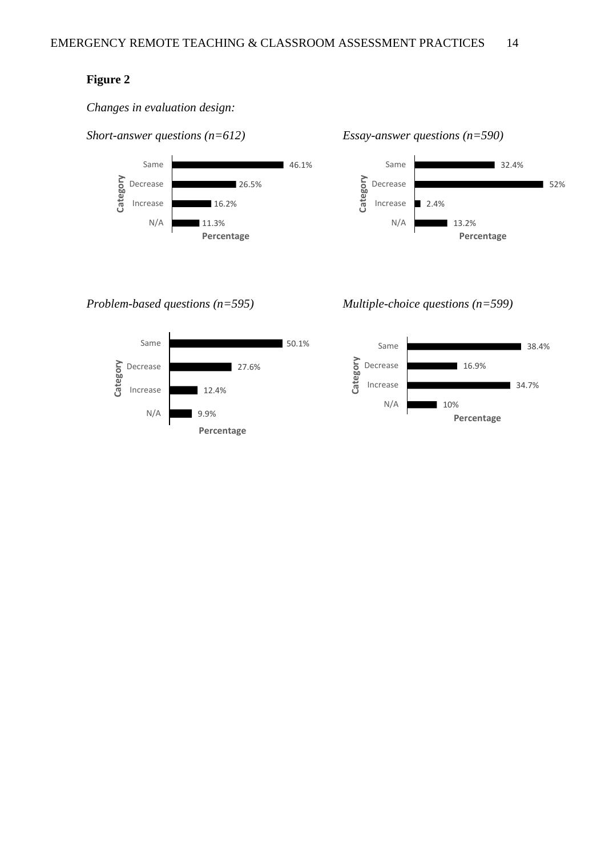#### **Figure 2**

*Changes in evaluation design:* 



*Short-answer questions (n=612) Essay-answer questions (n=590)*



#### *Problem-based questions (n=595) Multiple-choice questions (n=599)*



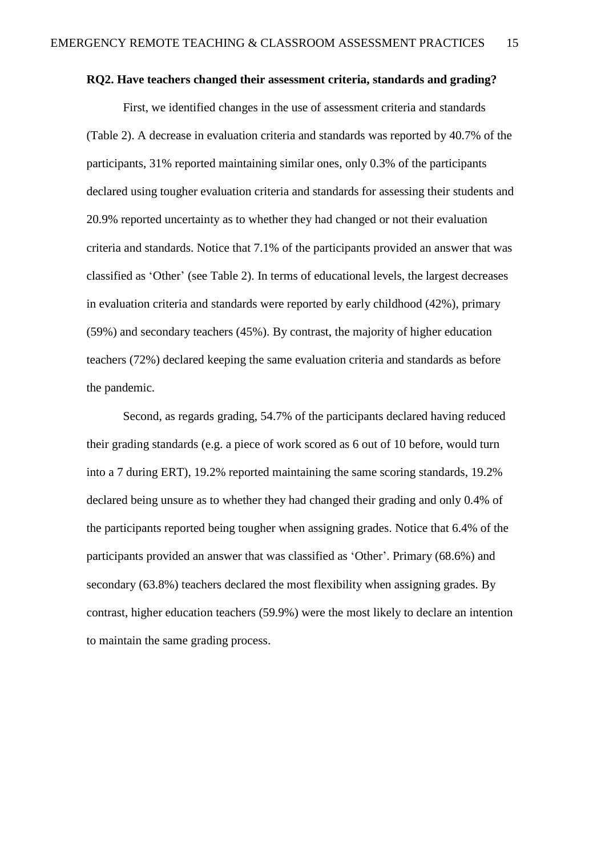#### **RQ2. Have teachers changed their assessment criteria, standards and grading?**

First, we identified changes in the use of assessment criteria and standards (Table 2). A decrease in evaluation criteria and standards was reported by 40.7% of the participants, 31% reported maintaining similar ones, only 0.3% of the participants declared using tougher evaluation criteria and standards for assessing their students and 20.9% reported uncertainty as to whether they had changed or not their evaluation criteria and standards. Notice that 7.1% of the participants provided an answer that was classified as 'Other' (see Table 2). In terms of educational levels, the largest decreases in evaluation criteria and standards were reported by early childhood (42%), primary (59%) and secondary teachers (45%). By contrast, the majority of higher education teachers (72%) declared keeping the same evaluation criteria and standards as before the pandemic.

Second, as regards grading, 54.7% of the participants declared having reduced their grading standards (e.g. a piece of work scored as 6 out of 10 before, would turn into a 7 during ERT), 19.2% reported maintaining the same scoring standards, 19.2% declared being unsure as to whether they had changed their grading and only 0.4% of the participants reported being tougher when assigning grades. Notice that 6.4% of the participants provided an answer that was classified as 'Other'. Primary (68.6%) and secondary (63.8%) teachers declared the most flexibility when assigning grades. By contrast, higher education teachers (59.9%) were the most likely to declare an intention to maintain the same grading process.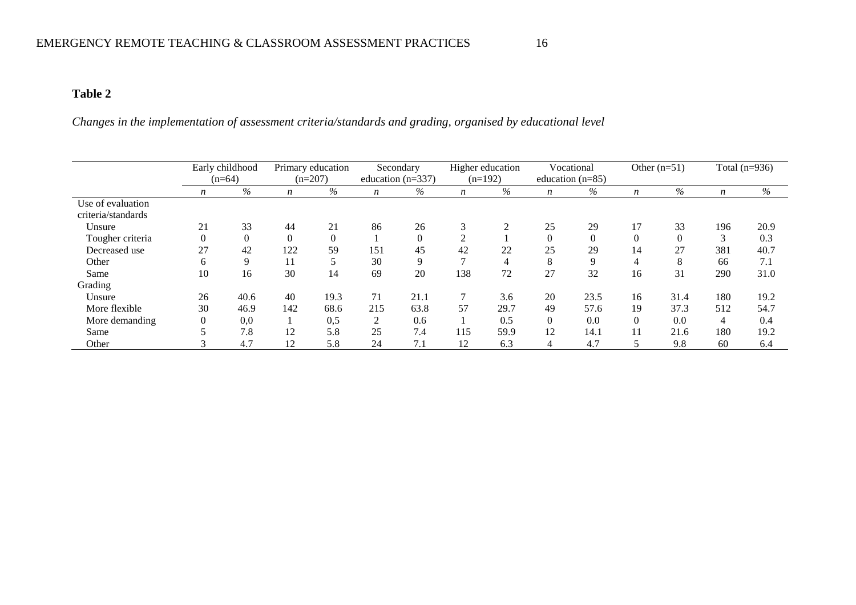### **Table 2**

*Changes in the implementation of assessment criteria/standards and grading, organised by educational level*

|                                         |          | Early childhood<br>$(n=64)$ |          | Primary education<br>$(n=207)$ |                | Secondary<br>education $(n=337)$ |                  | Higher education<br>$(n=192)$ |          | Vocational<br>education $(n=85)$ | Other $(n=51)$   |      | Total $(n=936)$  |      |
|-----------------------------------------|----------|-----------------------------|----------|--------------------------------|----------------|----------------------------------|------------------|-------------------------------|----------|----------------------------------|------------------|------|------------------|------|
|                                         | n        | $\%$                        | n        | $\%$                           | n              | %                                | $\boldsymbol{n}$ | %                             | n        | $\%$                             | $\boldsymbol{n}$ | $\%$ | $\boldsymbol{n}$ | $\%$ |
| Use of evaluation<br>criteria/standards |          |                             |          |                                |                |                                  |                  |                               |          |                                  |                  |      |                  |      |
| Unsure                                  | 21       | 33                          | 44       | 21                             | 86             | 26                               | 3                | $\overline{2}$                | 25       | 29                               | 17               | 33   | 196              | 20.9 |
| Tougher criteria                        | 0        | $\boldsymbol{0}$            | $\Omega$ | $\Omega$                       |                | $\overline{0}$                   | $\overline{2}$   |                               |          | $\overline{0}$                   |                  |      | 3                | 0.3  |
| Decreased use                           | 27       | 42                          | 122      | 59                             | 151            | 45                               | 42               | 22                            | 25       | 29                               | 14               | 27   | 381              | 40.7 |
| Other                                   | 6        | 9                           | 11       | 5                              | 30             | 9                                |                  | 4                             | 8        | 9                                | 4                | 8    | 66               | 7.1  |
| Same                                    | 10       | 16                          | 30       | 14                             | 69             | 20                               | 138              | 72                            | 27       | 32                               | 16               | 31   | 290              | 31.0 |
| Grading                                 |          |                             |          |                                |                |                                  |                  |                               |          |                                  |                  |      |                  |      |
| Unsure                                  | 26       | 40.6                        | 40       | 19.3                           | 71             | 21.1                             |                  | 3.6                           | 20       | 23.5                             | 16               | 31.4 | 180              | 19.2 |
| More flexible                           | 30       | 46.9                        | 142      | 68.6                           | 215            | 63.8                             | 57               | 29.7                          | 49       | 57.6                             | 19               | 37.3 | 512              | 54.7 |
| More demanding                          | $\theta$ | 0,0                         |          | 0,5                            | $\overline{2}$ | 0.6                              |                  | 0.5                           | $\theta$ | 0.0                              | $\Omega$         | 0.0  | 4                | 0.4  |
| Same                                    |          | 7.8                         | 12       | 5.8                            | 25             | 7.4                              | 115              | 59.9                          | 12       | 14.1                             |                  | 21.6 | 180              | 19.2 |
| Other                                   |          | 4.7                         | 12       | 5.8                            | 24             | 7.1                              | 12               | 6.3                           | 4        | 4.7                              |                  | 9.8  | 60               | 6.4  |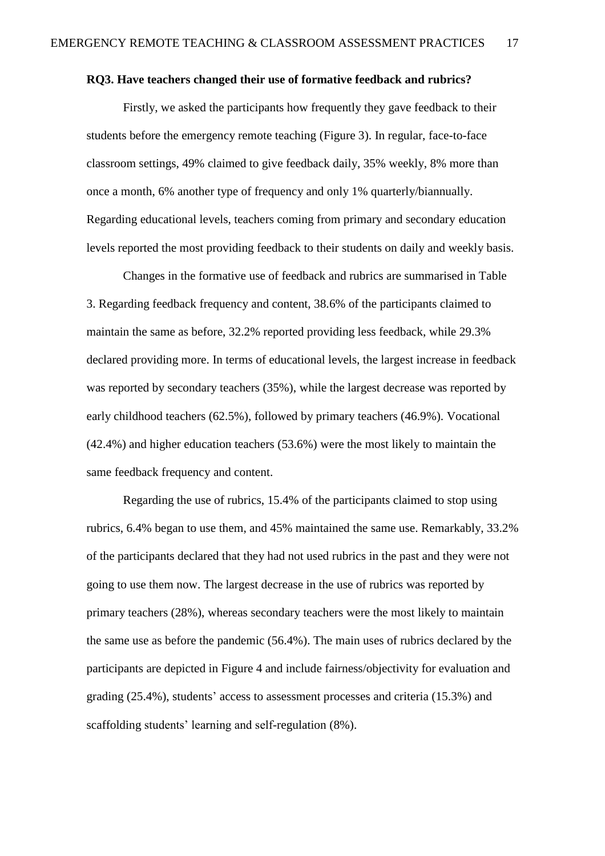### **RQ3. Have teachers changed their use of formative feedback and rubrics?**

Firstly, we asked the participants how frequently they gave feedback to their students before the emergency remote teaching (Figure 3). In regular, face-to-face classroom settings, 49% claimed to give feedback daily, 35% weekly, 8% more than once a month, 6% another type of frequency and only 1% quarterly/biannually. Regarding educational levels, teachers coming from primary and secondary education levels reported the most providing feedback to their students on daily and weekly basis.

Changes in the formative use of feedback and rubrics are summarised in Table 3. Regarding feedback frequency and content, 38.6% of the participants claimed to maintain the same as before, 32.2% reported providing less feedback, while 29.3% declared providing more. In terms of educational levels, the largest increase in feedback was reported by secondary teachers (35%), while the largest decrease was reported by early childhood teachers (62.5%), followed by primary teachers (46.9%). Vocational (42.4%) and higher education teachers (53.6%) were the most likely to maintain the same feedback frequency and content.

Regarding the use of rubrics, 15.4% of the participants claimed to stop using rubrics, 6.4% began to use them, and 45% maintained the same use. Remarkably, 33.2% of the participants declared that they had not used rubrics in the past and they were not going to use them now. The largest decrease in the use of rubrics was reported by primary teachers (28%), whereas secondary teachers were the most likely to maintain the same use as before the pandemic (56.4%). The main uses of rubrics declared by the participants are depicted in Figure 4 and include fairness/objectivity for evaluation and grading (25.4%), students' access to assessment processes and criteria (15.3%) and scaffolding students' learning and self-regulation (8%).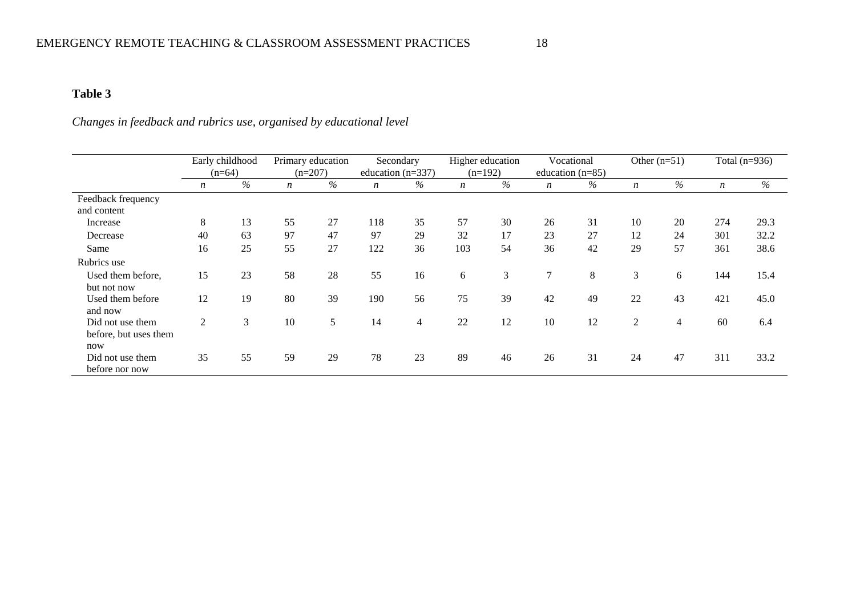## **Table 3**

# *Changes in feedback and rubrics use, organised by educational level*

|                                           |                  | Early childhood<br>$(n=64)$ | Primary education<br>$(n=207)$ |      |                  | Secondary<br>education $(n=337)$ |                  | Higher education<br>$(n=192)$ |                  | Vocational<br>education $(n=85)$ |                  | Other $(n=51)$ | Total $(n=936)$  |      |
|-------------------------------------------|------------------|-----------------------------|--------------------------------|------|------------------|----------------------------------|------------------|-------------------------------|------------------|----------------------------------|------------------|----------------|------------------|------|
|                                           | $\boldsymbol{n}$ | $\%$                        | $\boldsymbol{n}$               | $\%$ | $\boldsymbol{n}$ | $\%$                             | $\boldsymbol{n}$ | $\%$                          | $\boldsymbol{n}$ | $\%$                             | $\boldsymbol{n}$ | $\%$           | $\boldsymbol{n}$ | $\%$ |
| Feedback frequency                        |                  |                             |                                |      |                  |                                  |                  |                               |                  |                                  |                  |                |                  |      |
| and content                               |                  |                             |                                |      |                  |                                  |                  |                               |                  |                                  |                  |                |                  |      |
| Increase                                  | 8                | 13                          | 55                             | 27   | 118              | 35                               | 57               | 30                            | 26               | 31                               | 10               | 20             | 274              | 29.3 |
| Decrease                                  | 40               | 63                          | 97                             | 47   | 97               | 29                               | 32               | 17                            | 23               | 27                               | 12               | 24             | 301              | 32.2 |
| Same                                      | 16               | 25                          | 55                             | 27   | 122              | 36                               | 103              | 54                            | 36               | 42                               | 29               | 57             | 361              | 38.6 |
| Rubrics use                               |                  |                             |                                |      |                  |                                  |                  |                               |                  |                                  |                  |                |                  |      |
| Used them before,<br>but not now          | 15               | 23                          | 58                             | 28   | 55               | 16                               | 6                | 3                             | 7                | 8                                | 3                | 6              | 144              | 15.4 |
| Used them before<br>and now               | 12               | 19                          | 80                             | 39   | 190              | 56                               | 75               | 39                            | 42               | 49                               | 22               | 43             | 421              | 45.0 |
| Did not use them<br>before, but uses them | 2                | 3                           | 10                             | 5    | 14               | $\overline{4}$                   | 22               | 12                            | 10               | 12                               | 2                | $\overline{4}$ | 60               | 6.4  |
| now<br>Did not use them<br>before nor now | 35               | 55                          | 59                             | 29   | 78               | 23                               | 89               | 46                            | 26               | 31                               | 24               | 47             | 311              | 33.2 |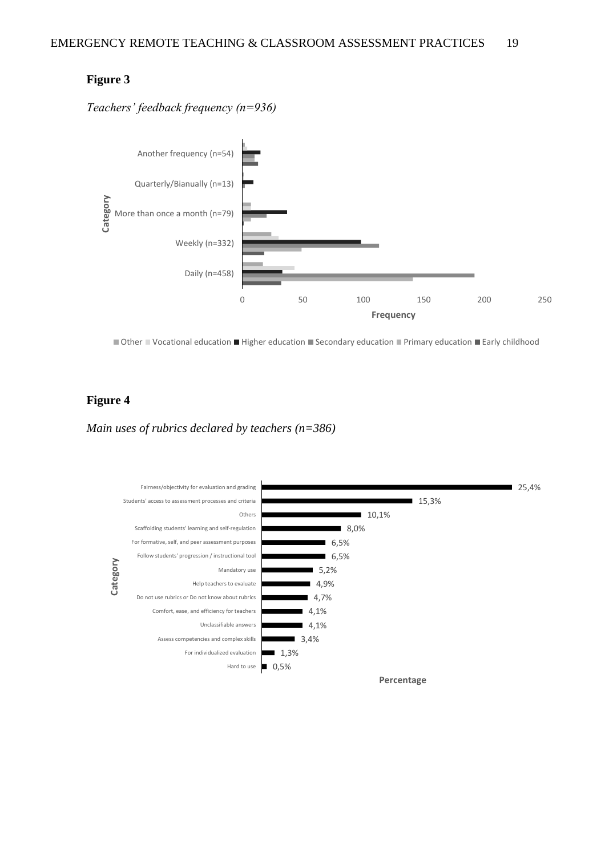#### **Figure 3**

*Teachers' feedback frequency (n=936)*



■ Other ■ Vocational education ■ Higher education ■ Secondary education ■ Primary education ■ Early childhood

#### **Figure 4**

*Main uses of rubrics declared by teachers (n=386)*

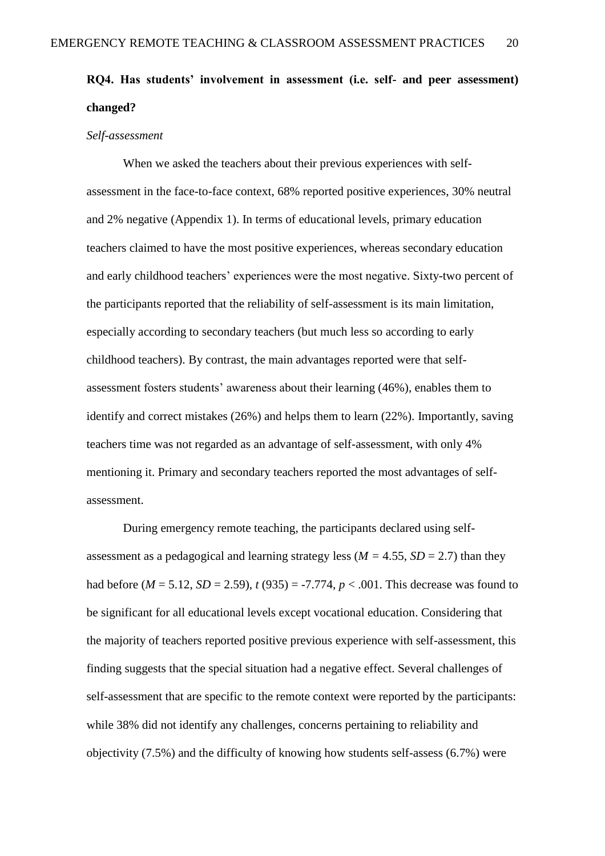# **RQ4. Has students' involvement in assessment (i.e. self- and peer assessment) changed?**

#### *Self-assessment*

When we asked the teachers about their previous experiences with selfassessment in the face-to-face context, 68% reported positive experiences, 30% neutral and 2% negative (Appendix 1). In terms of educational levels, primary education teachers claimed to have the most positive experiences, whereas secondary education and early childhood teachers' experiences were the most negative. Sixty-two percent of the participants reported that the reliability of self-assessment is its main limitation, especially according to secondary teachers (but much less so according to early childhood teachers). By contrast, the main advantages reported were that selfassessment fosters students' awareness about their learning (46%), enables them to identify and correct mistakes (26%) and helps them to learn (22%). Importantly, saving teachers time was not regarded as an advantage of self-assessment, with only 4% mentioning it. Primary and secondary teachers reported the most advantages of selfassessment.

During emergency remote teaching, the participants declared using selfassessment as a pedagogical and learning strategy less ( $M = 4.55$ ,  $SD = 2.7$ ) than they had before  $(M = 5.12, SD = 2.59)$ ,  $t(935) = -7.774$ ,  $p < .001$ . This decrease was found to be significant for all educational levels except vocational education. Considering that the majority of teachers reported positive previous experience with self-assessment, this finding suggests that the special situation had a negative effect. Several challenges of self-assessment that are specific to the remote context were reported by the participants: while 38% did not identify any challenges, concerns pertaining to reliability and objectivity (7.5%) and the difficulty of knowing how students self-assess (6.7%) were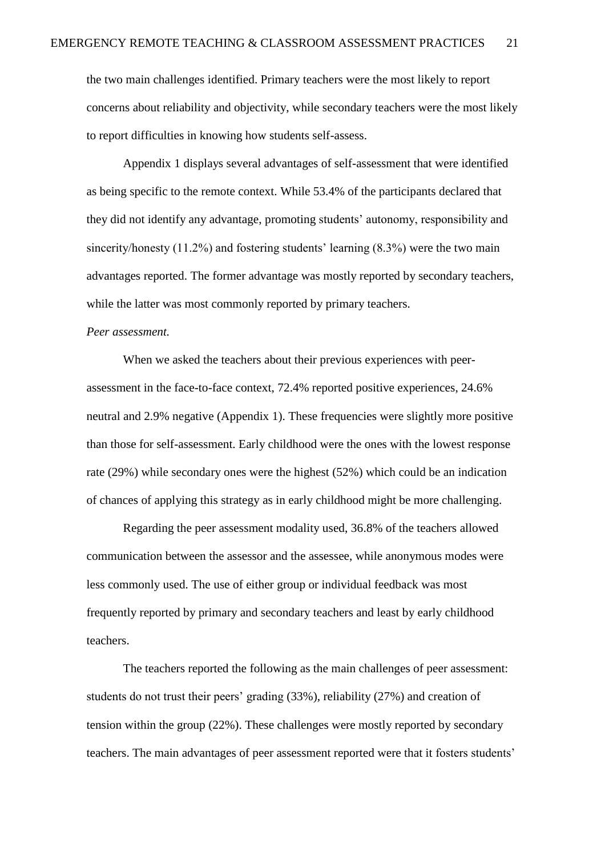the two main challenges identified. Primary teachers were the most likely to report concerns about reliability and objectivity, while secondary teachers were the most likely to report difficulties in knowing how students self-assess.

Appendix 1 displays several advantages of self-assessment that were identified as being specific to the remote context. While 53.4% of the participants declared that they did not identify any advantage, promoting students' autonomy, responsibility and sincerity/honesty (11.2%) and fostering students' learning (8.3%) were the two main advantages reported. The former advantage was mostly reported by secondary teachers, while the latter was most commonly reported by primary teachers.

#### *Peer assessment.*

When we asked the teachers about their previous experiences with peerassessment in the face-to-face context, 72.4% reported positive experiences, 24.6% neutral and 2.9% negative (Appendix 1). These frequencies were slightly more positive than those for self-assessment. Early childhood were the ones with the lowest response rate (29%) while secondary ones were the highest (52%) which could be an indication of chances of applying this strategy as in early childhood might be more challenging.

Regarding the peer assessment modality used, 36.8% of the teachers allowed communication between the assessor and the assessee, while anonymous modes were less commonly used. The use of either group or individual feedback was most frequently reported by primary and secondary teachers and least by early childhood teachers.

The teachers reported the following as the main challenges of peer assessment: students do not trust their peers' grading (33%), reliability (27%) and creation of tension within the group (22%). These challenges were mostly reported by secondary teachers. The main advantages of peer assessment reported were that it fosters students'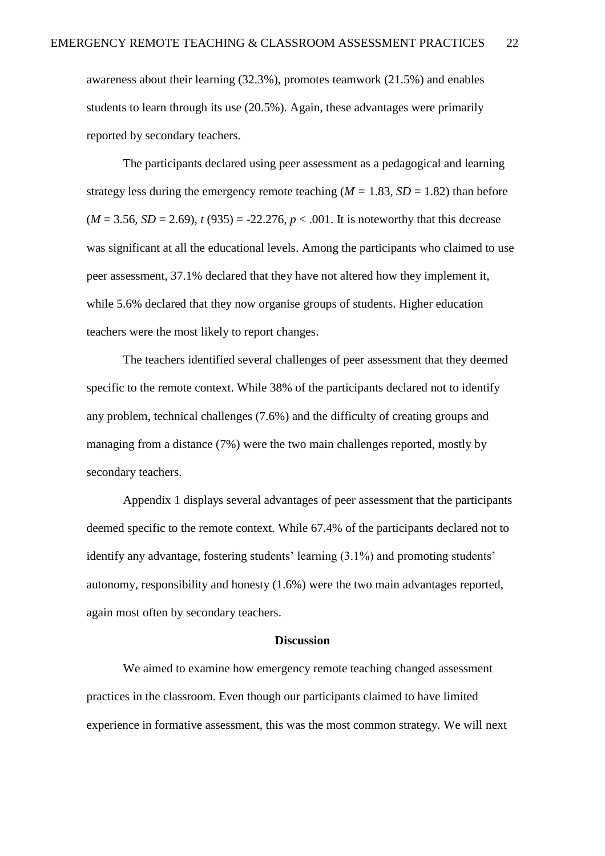awareness about their learning (32.3%), promotes teamwork (21.5%) and enables students to learn through its use (20.5%). Again, these advantages were primarily reported by secondary teachers.

The participants declared using peer assessment as a pedagogical and learning strategy less during the emergency remote teaching  $(M = 1.83, SD = 1.82)$  than before  $(M = 3.56, SD = 2.69)$ ,  $t(935) = -22.276, p < .001$ . It is noteworthy that this decrease was significant at all the educational levels. Among the participants who claimed to use peer assessment, 37.1% declared that they have not altered how they implement it, while 5.6% declared that they now organise groups of students. Higher education teachers were the most likely to report changes.

The teachers identified several challenges of peer assessment that they deemed specific to the remote context. While 38% of the participants declared not to identify any problem, technical challenges (7.6%) and the difficulty of creating groups and managing from a distance (7%) were the two main challenges reported, mostly by secondary teachers.

Appendix 1 displays several advantages of peer assessment that the participants deemed specific to the remote context. While 67.4% of the participants declared not to identify any advantage, fostering students' learning (3.1%) and promoting students' autonomy, responsibility and honesty (1.6%) were the two main advantages reported, again most often by secondary teachers.

#### **Discussion**

We aimed to examine how emergency remote teaching changed assessment practices in the classroom. Even though our participants claimed to have limited experience in formative assessment, this was the most common strategy. We will next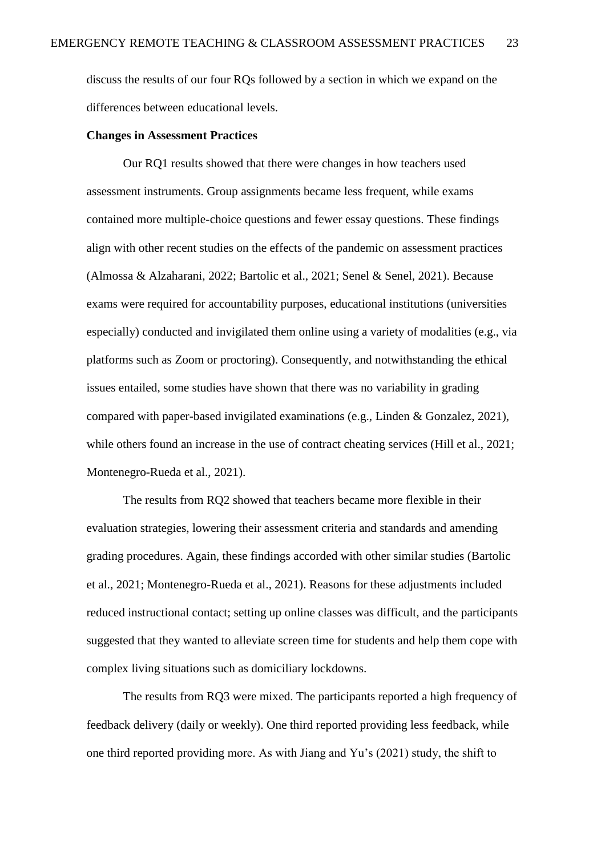discuss the results of our four RQs followed by a section in which we expand on the differences between educational levels.

#### **Changes in Assessment Practices**

Our RQ1 results showed that there were changes in how teachers used assessment instruments. Group assignments became less frequent, while exams contained more multiple-choice questions and fewer essay questions. These findings align with other recent studies on the effects of the pandemic on assessment practices (Almossa & Alzaharani, 2022; Bartolic et al., 2021; Senel & Senel, 2021). Because exams were required for accountability purposes, educational institutions (universities especially) conducted and invigilated them online using a variety of modalities (e.g., via platforms such as Zoom or proctoring). Consequently, and notwithstanding the ethical issues entailed, some studies have shown that there was no variability in grading compared with paper-based invigilated examinations (e.g., Linden & Gonzalez, 2021), while others found an increase in the use of contract cheating services (Hill et al., 2021; Montenegro-Rueda et al., 2021).

The results from RQ2 showed that teachers became more flexible in their evaluation strategies, lowering their assessment criteria and standards and amending grading procedures. Again, these findings accorded with other similar studies (Bartolic et al., 2021; Montenegro-Rueda et al., 2021). Reasons for these adjustments included reduced instructional contact; setting up online classes was difficult, and the participants suggested that they wanted to alleviate screen time for students and help them cope with complex living situations such as domiciliary lockdowns.

The results from RQ3 were mixed. The participants reported a high frequency of feedback delivery (daily or weekly). One third reported providing less feedback, while one third reported providing more. As with Jiang and Yu's (2021) study, the shift to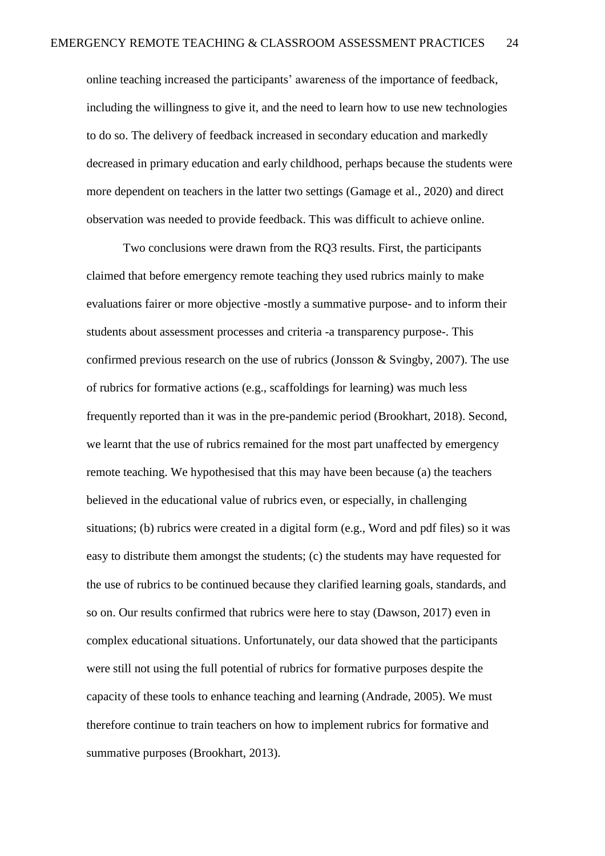online teaching increased the participants' awareness of the importance of feedback, including the willingness to give it, and the need to learn how to use new technologies to do so. The delivery of feedback increased in secondary education and markedly decreased in primary education and early childhood, perhaps because the students were more dependent on teachers in the latter two settings (Gamage et al., 2020) and direct observation was needed to provide feedback. This was difficult to achieve online.

Two conclusions were drawn from the RQ3 results. First, the participants claimed that before emergency remote teaching they used rubrics mainly to make evaluations fairer or more objective -mostly a summative purpose- and to inform their students about assessment processes and criteria -a transparency purpose-. This confirmed previous research on the use of rubrics (Jonsson & Svingby, 2007). The use of rubrics for formative actions (e.g., scaffoldings for learning) was much less frequently reported than it was in the pre-pandemic period (Brookhart, 2018). Second, we learnt that the use of rubrics remained for the most part unaffected by emergency remote teaching. We hypothesised that this may have been because (a) the teachers believed in the educational value of rubrics even, or especially, in challenging situations; (b) rubrics were created in a digital form (e.g., Word and pdf files) so it was easy to distribute them amongst the students; (c) the students may have requested for the use of rubrics to be continued because they clarified learning goals, standards, and so on. Our results confirmed that rubrics were here to stay (Dawson, 2017) even in complex educational situations. Unfortunately, our data showed that the participants were still not using the full potential of rubrics for formative purposes despite the capacity of these tools to enhance teaching and learning (Andrade, 2005). We must therefore continue to train teachers on how to implement rubrics for formative and summative purposes (Brookhart, 2013).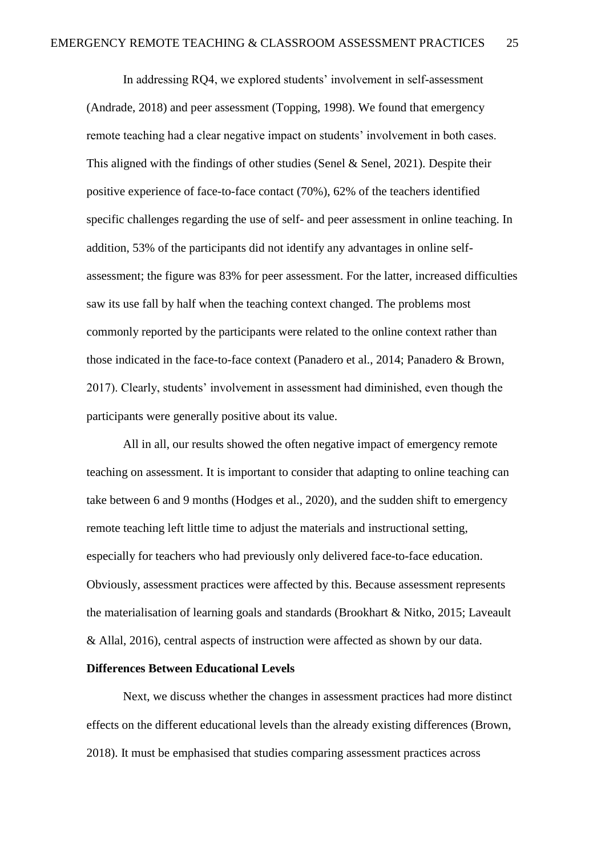In addressing RQ4, we explored students' involvement in self-assessment (Andrade, 2018) and peer assessment (Topping, 1998). We found that emergency remote teaching had a clear negative impact on students' involvement in both cases. This aligned with the findings of other studies (Senel & Senel, 2021). Despite their positive experience of face-to-face contact (70%), 62% of the teachers identified specific challenges regarding the use of self- and peer assessment in online teaching. In addition, 53% of the participants did not identify any advantages in online selfassessment; the figure was 83% for peer assessment. For the latter, increased difficulties saw its use fall by half when the teaching context changed. The problems most commonly reported by the participants were related to the online context rather than those indicated in the face-to-face context (Panadero et al., 2014; Panadero & Brown, 2017). Clearly, students' involvement in assessment had diminished, even though the participants were generally positive about its value.

All in all, our results showed the often negative impact of emergency remote teaching on assessment. It is important to consider that adapting to online teaching can take between 6 and 9 months (Hodges et al., 2020), and the sudden shift to emergency remote teaching left little time to adjust the materials and instructional setting, especially for teachers who had previously only delivered face-to-face education. Obviously, assessment practices were affected by this. Because assessment represents the materialisation of learning goals and standards (Brookhart & Nitko, 2015; Laveault & Allal, 2016), central aspects of instruction were affected as shown by our data.

#### **Differences Between Educational Levels**

Next, we discuss whether the changes in assessment practices had more distinct effects on the different educational levels than the already existing differences (Brown, 2018). It must be emphasised that studies comparing assessment practices across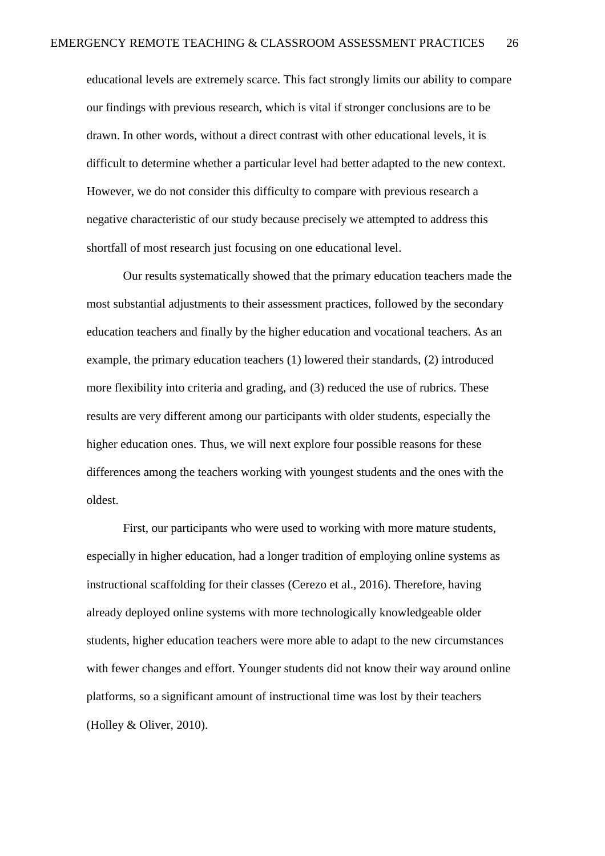educational levels are extremely scarce. This fact strongly limits our ability to compare our findings with previous research, which is vital if stronger conclusions are to be drawn. In other words, without a direct contrast with other educational levels, it is difficult to determine whether a particular level had better adapted to the new context. However, we do not consider this difficulty to compare with previous research a negative characteristic of our study because precisely we attempted to address this shortfall of most research just focusing on one educational level.

Our results systematically showed that the primary education teachers made the most substantial adjustments to their assessment practices, followed by the secondary education teachers and finally by the higher education and vocational teachers. As an example, the primary education teachers (1) lowered their standards, (2) introduced more flexibility into criteria and grading, and (3) reduced the use of rubrics. These results are very different among our participants with older students, especially the higher education ones. Thus, we will next explore four possible reasons for these differences among the teachers working with youngest students and the ones with the oldest.

First, our participants who were used to working with more mature students, especially in higher education, had a longer tradition of employing online systems as instructional scaffolding for their classes (Cerezo et al., 2016). Therefore, having already deployed online systems with more technologically knowledgeable older students, higher education teachers were more able to adapt to the new circumstances with fewer changes and effort. Younger students did not know their way around online platforms, so a significant amount of instructional time was lost by their teachers (Holley & Oliver, 2010).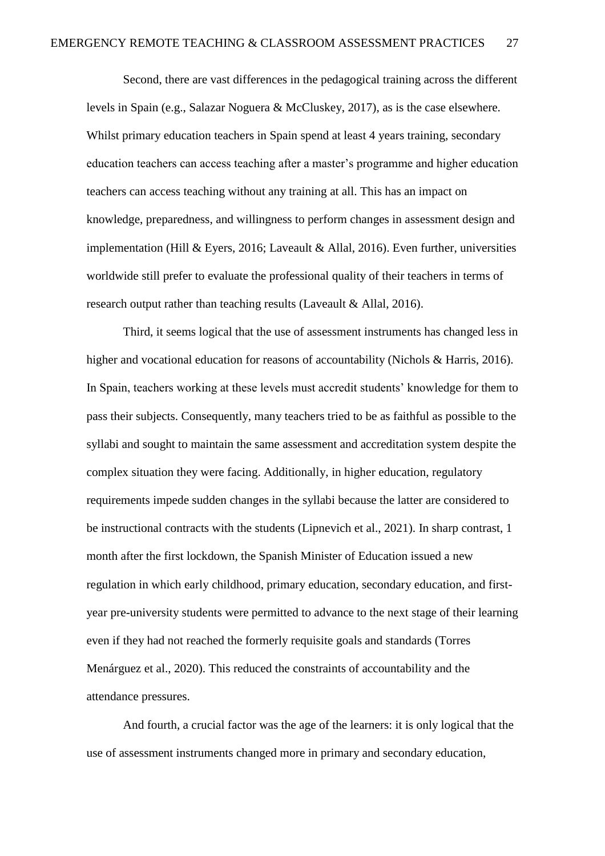Second, there are vast differences in the pedagogical training across the different levels in Spain (e.g., Salazar Noguera & McCluskey, 2017), as is the case elsewhere. Whilst primary education teachers in Spain spend at least 4 years training, secondary education teachers can access teaching after a master's programme and higher education teachers can access teaching without any training at all. This has an impact on knowledge, preparedness, and willingness to perform changes in assessment design and implementation (Hill & Eyers, 2016; Laveault & Allal, 2016). Even further, universities worldwide still prefer to evaluate the professional quality of their teachers in terms of research output rather than teaching results (Laveault & Allal, 2016).

Third, it seems logical that the use of assessment instruments has changed less in higher and vocational education for reasons of accountability (Nichols & Harris, 2016). In Spain, teachers working at these levels must accredit students' knowledge for them to pass their subjects. Consequently, many teachers tried to be as faithful as possible to the syllabi and sought to maintain the same assessment and accreditation system despite the complex situation they were facing. Additionally, in higher education, regulatory requirements impede sudden changes in the syllabi because the latter are considered to be instructional contracts with the students (Lipnevich et al., 2021). In sharp contrast, 1 month after the first lockdown, the Spanish Minister of Education issued a new regulation in which early childhood, primary education, secondary education, and firstyear pre-university students were permitted to advance to the next stage of their learning even if they had not reached the formerly requisite goals and standards (Torres Menárguez et al., 2020). This reduced the constraints of accountability and the attendance pressures.

And fourth, a crucial factor was the age of the learners: it is only logical that the use of assessment instruments changed more in primary and secondary education,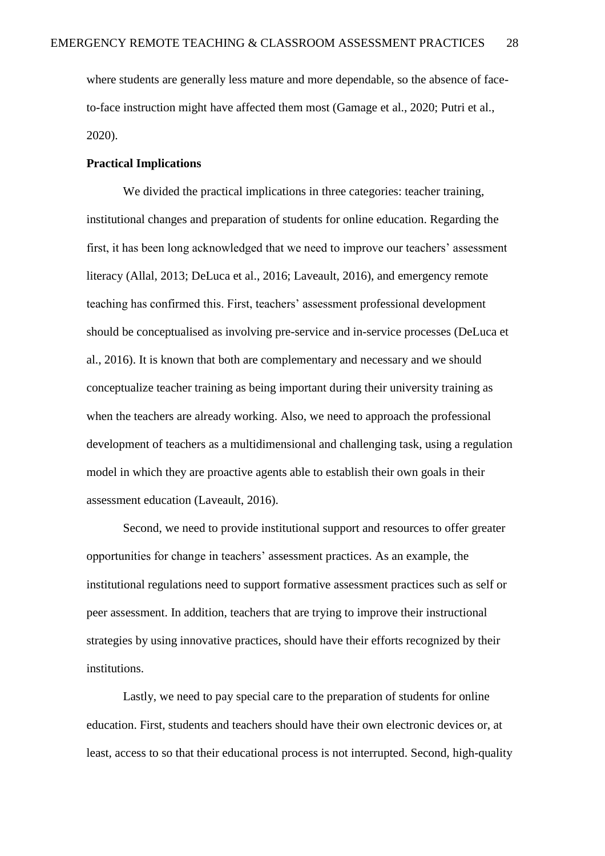where students are generally less mature and more dependable, so the absence of faceto-face instruction might have affected them most (Gamage et al., 2020; Putri et al., 2020).

#### **Practical Implications**

We divided the practical implications in three categories: teacher training, institutional changes and preparation of students for online education. Regarding the first, it has been long acknowledged that we need to improve our teachers' assessment literacy (Allal, 2013; DeLuca et al., 2016; Laveault, 2016), and emergency remote teaching has confirmed this. First, teachers' assessment professional development should be conceptualised as involving pre-service and in-service processes (DeLuca et al., 2016). It is known that both are complementary and necessary and we should conceptualize teacher training as being important during their university training as when the teachers are already working. Also, we need to approach the professional development of teachers as a multidimensional and challenging task, using a regulation model in which they are proactive agents able to establish their own goals in their assessment education (Laveault, 2016).

Second, we need to provide institutional support and resources to offer greater opportunities for change in teachers' assessment practices. As an example, the institutional regulations need to support formative assessment practices such as self or peer assessment. In addition, teachers that are trying to improve their instructional strategies by using innovative practices, should have their efforts recognized by their institutions.

Lastly, we need to pay special care to the preparation of students for online education. First, students and teachers should have their own electronic devices or, at least, access to so that their educational process is not interrupted. Second, high-quality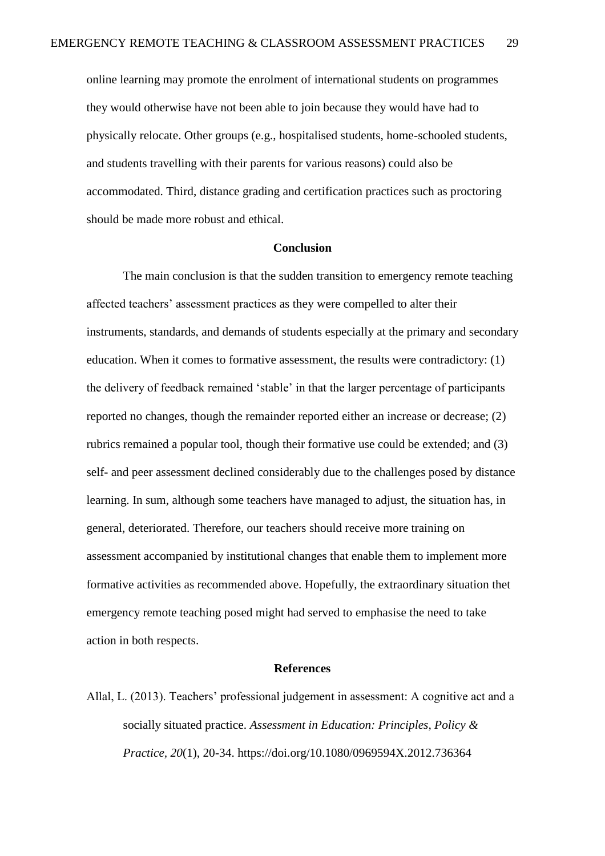online learning may promote the enrolment of international students on programmes they would otherwise have not been able to join because they would have had to physically relocate. Other groups (e.g., hospitalised students, home-schooled students, and students travelling with their parents for various reasons) could also be accommodated. Third, distance grading and certification practices such as proctoring should be made more robust and ethical.

#### **Conclusion**

The main conclusion is that the sudden transition to emergency remote teaching affected teachers' assessment practices as they were compelled to alter their instruments, standards, and demands of students especially at the primary and secondary education. When it comes to formative assessment, the results were contradictory: (1) the delivery of feedback remained 'stable' in that the larger percentage of participants reported no changes, though the remainder reported either an increase or decrease; (2) rubrics remained a popular tool, though their formative use could be extended; and (3) self- and peer assessment declined considerably due to the challenges posed by distance learning. In sum, although some teachers have managed to adjust, the situation has, in general, deteriorated. Therefore, our teachers should receive more training on assessment accompanied by institutional changes that enable them to implement more formative activities as recommended above. Hopefully, the extraordinary situation thet emergency remote teaching posed might had served to emphasise the need to take action in both respects.

#### **References**

Allal, L. (2013). Teachers' professional judgement in assessment: A cognitive act and a socially situated practice. *Assessment in Education: Principles, Policy & Practice, 20*(1), 20-34. https://doi.org/10.1080/0969594X.2012.736364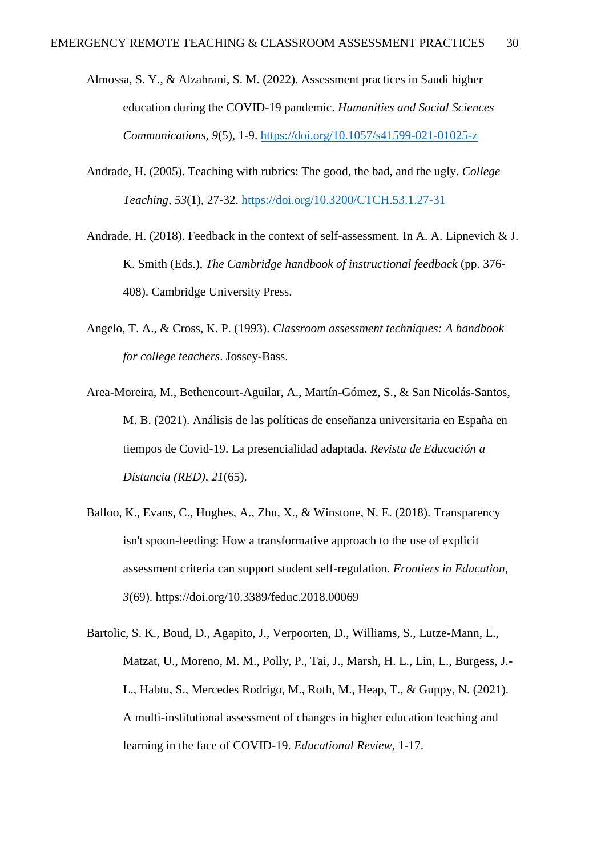- Almossa, S. Y., & Alzahrani, S. M. (2022). Assessment practices in Saudi higher education during the COVID-19 pandemic. *Humanities and Social Sciences Communications, 9*(5), 1-9.<https://doi.org/10.1057/s41599-021-01025-z>
- Andrade, H. (2005). Teaching with rubrics: The good, the bad, and the ugly. *College Teaching, 53*(1), 27-32.<https://doi.org/10.3200/CTCH.53.1.27-31>
- Andrade, H. (2018). Feedback in the context of self-assessment. In A. A. Lipnevich & J. K. Smith (Eds.), *The Cambridge handbook of instructional feedback* (pp. 376- 408). Cambridge University Press.
- Angelo, T. A., & Cross, K. P. (1993). *Classroom assessment techniques: A handbook for college teachers*. Jossey-Bass.
- Area-Moreira, M., Bethencourt-Aguilar, A., Martín-Gómez, S., & San Nicolás-Santos, M. B. (2021). Análisis de las políticas de enseñanza universitaria en España en tiempos de Covid-19. La presencialidad adaptada. *Revista de Educación a Distancia (RED)*, *21*(65).
- Balloo, K., Evans, C., Hughes, A., Zhu, X., & Winstone, N. E. (2018). Transparency isn't spoon-feeding: How a transformative approach to the use of explicit assessment criteria can support student self-regulation. *Frontiers in Education, 3*(69). https://doi.org/10.3389/feduc.2018.00069
- Bartolic, S. K., Boud, D., Agapito, J., Verpoorten, D., Williams, S., Lutze-Mann, L., Matzat, U., Moreno, M. M., Polly, P., Tai, J., Marsh, H. L., Lin, L., Burgess, J.- L., Habtu, S., Mercedes Rodrigo, M., Roth, M., Heap, T., & Guppy, N. (2021). A multi-institutional assessment of changes in higher education teaching and learning in the face of COVID-19. *Educational Review*, 1-17.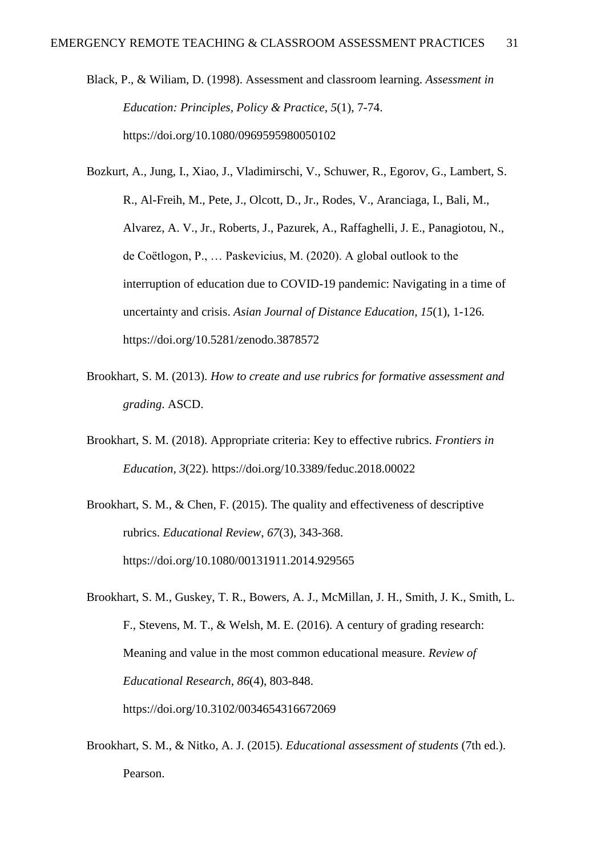Black, P., & Wiliam, D. (1998). Assessment and classroom learning. *Assessment in Education: Principles, Policy & Practice*, *5*(1), 7-74. https://doi.org/10.1080/0969595980050102

Bozkurt, A., Jung, I., Xiao, J., Vladimirschi, V., Schuwer, R., Egorov, G., Lambert, S. R., Al-Freih, M., Pete, J., Olcott, D., Jr., Rodes, V., Aranciaga, I., Bali, M., Alvarez, A. V., Jr., Roberts, J., Pazurek, A., Raffaghelli, J. E., Panagiotou, N., de Coëtlogon, P., … Paskevicius, M. (2020). A global outlook to the interruption of education due to COVID-19 pandemic: Navigating in a time of uncertainty and crisis. *Asian Journal of Distance Education*, *15*(1), 1-126. https://doi.org/10.5281/zenodo.3878572

- Brookhart, S. M. (2013). *How to create and use rubrics for formative assessment and grading*. ASCD.
- Brookhart, S. M. (2018). Appropriate criteria: Key to effective rubrics. *Frontiers in Education, 3*(22). https://doi.org/10.3389/feduc.2018.00022
- Brookhart, S. M., & Chen, F. (2015). The quality and effectiveness of descriptive rubrics. *Educational Review*, *67*(3), 343-368. https://doi.org/10.1080/00131911.2014.929565
- Brookhart, S. M., Guskey, T. R., Bowers, A. J., McMillan, J. H., Smith, J. K., Smith, L. F., Stevens, M. T., & Welsh, M. E. (2016). A century of grading research: Meaning and value in the most common educational measure. *Review of Educational Research*, *86*(4), 803-848. https://doi.org/10.3102/0034654316672069
- Brookhart, S. M., & Nitko, A. J. (2015). *Educational assessment of students* (7th ed.). Pearson.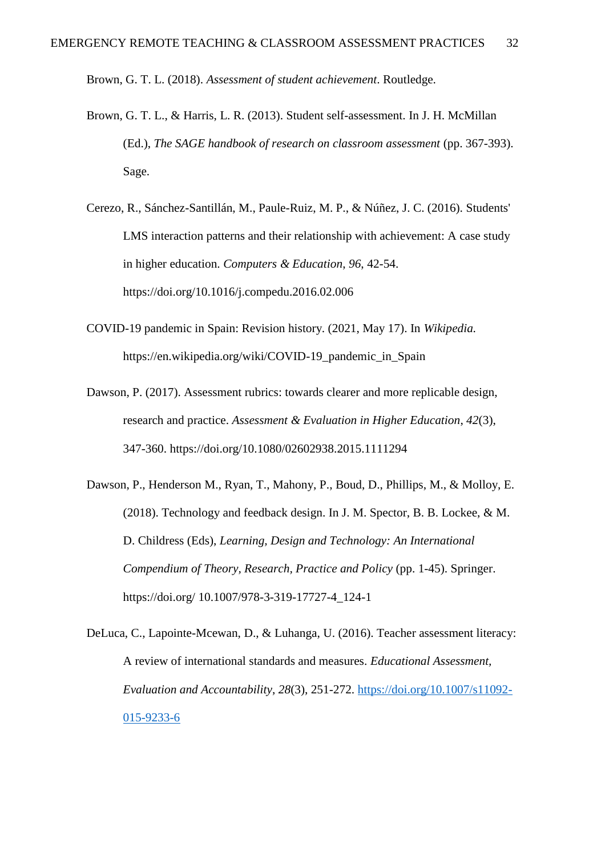Brown, G. T. L. (2018). *Assessment of student achievement*. Routledge.

- Brown, G. T. L., & Harris, L. R. (2013). Student self-assessment. In J. H. McMillan (Ed.), *The SAGE handbook of research on classroom assessment* (pp. 367-393). Sage.
- Cerezo, R., Sánchez-Santillán, M., Paule-Ruiz, M. P., & Núñez, J. C. (2016). Students' LMS interaction patterns and their relationship with achievement: A case study in higher education. *Computers & Education*, *96*, 42-54. https://doi.org/10.1016/j.compedu.2016.02.006
- COVID-19 pandemic in Spain: Revision history. (2021, May 17). In *Wikipedia.*  https://en.wikipedia.org/wiki/COVID-19\_pandemic\_in\_Spain
- Dawson, P. (2017). Assessment rubrics: towards clearer and more replicable design, research and practice. *Assessment & Evaluation in Higher Education*, *42*(3), 347-360. https://doi.org/10.1080/02602938.2015.1111294
- Dawson, P., Henderson M., Ryan, T., Mahony, P., Boud, D., Phillips, M., & Molloy, E. (2018). Technology and feedback design. In J. M. Spector, B. B. Lockee, & M. D. Childress (Eds), *Learning, Design and Technology: An International Compendium of Theory, Research, Practice and Policy* (pp. 1-45). Springer. https://doi.org/ 10.1007/978-3-319-17727-4\_124-1
- DeLuca, C., Lapointe-Mcewan, D., & Luhanga, U. (2016). Teacher assessment literacy: A review of international standards and measures. *Educational Assessment, Evaluation and Accountability*, *28*(3), 251-272. [https://doi.org/10.1007/s11092-](https://doi.org/10.1007/s11092-015-9233-6) [015-9233-6](https://doi.org/10.1007/s11092-015-9233-6)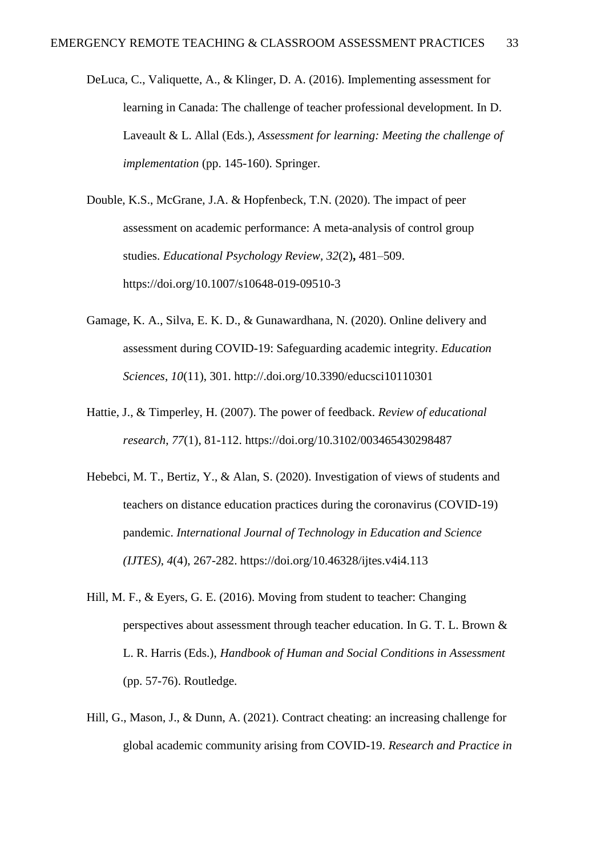DeLuca, C., Valiquette, A., & Klinger, D. A. (2016). Implementing assessment for learning in Canada: The challenge of teacher professional development. In D. Laveault & L. Allal (Eds.), *Assessment for learning: Meeting the challenge of implementation* (pp. 145-160). Springer.

Double, K.S., McGrane, J.A. & Hopfenbeck, T.N. (2020). The impact of peer assessment on academic performance: A meta-analysis of control group studies. *Educational Psychology Review, 32*(2)**,** 481–509. https://doi.org/10.1007/s10648-019-09510-3

- Gamage, K. A., Silva, E. K. D., & Gunawardhana, N. (2020). Online delivery and assessment during COVID-19: Safeguarding academic integrity. *Education Sciences*, *10*(11), 301. http://.doi.org/10.3390/educsci10110301
- Hattie, J., & Timperley, H. (2007). The power of feedback. *Review of educational research*, *77*(1), 81-112. https://doi.org/10.3102/003465430298487
- Hebebci, M. T., Bertiz, Y., & Alan, S. (2020). Investigation of views of students and teachers on distance education practices during the coronavirus (COVID-19) pandemic. *International Journal of Technology in Education and Science (IJTES)*, *4*(4), 267-282. https://doi.org/10.46328/ijtes.v4i4.113
- Hill, M. F., & Eyers, G. E. (2016). Moving from student to teacher: Changing perspectives about assessment through teacher education. In G. T. L. Brown & L. R. Harris (Eds.), *Handbook of Human and Social Conditions in Assessment* (pp. 57-76). Routledge.
- Hill, G., Mason, J., & Dunn, A. (2021). Contract cheating: an increasing challenge for global academic community arising from COVID-19. *Research and Practice in*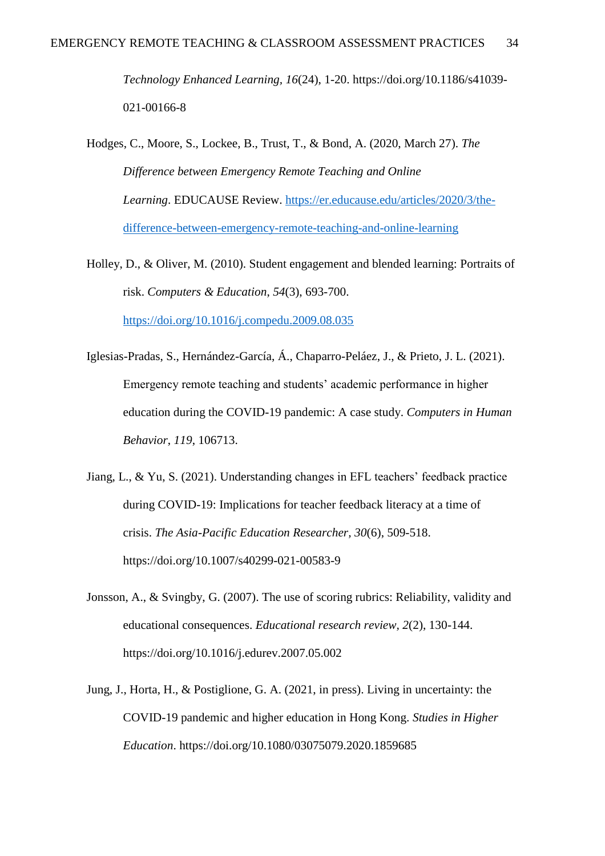*Technology Enhanced Learning, 16*(24), 1-20. https://doi.org/10.1186/s41039- 021-00166-8

Hodges, C., Moore, S., Lockee, B., Trust, T., & Bond, A. (2020, March 27). *The Difference between Emergency Remote Teaching and Online Learning*. EDUCAUSE Review. [https://er.educause.edu/articles/2020/3/the](https://er.educause.edu/articles/2020/3/the-difference-between-emergency-remote-teaching-and-online-learning)[difference-between-emergency-remote-teaching-and-online-learning](https://er.educause.edu/articles/2020/3/the-difference-between-emergency-remote-teaching-and-online-learning)

- Holley, D., & Oliver, M. (2010). Student engagement and blended learning: Portraits of risk. *Computers & Education*, *54*(3), 693-700. <https://doi.org/10.1016/j.compedu.2009.08.035>
- Iglesias-Pradas, S., Hernández-García, Á., Chaparro-Peláez, J., & Prieto, J. L. (2021). Emergency remote teaching and students' academic performance in higher education during the COVID-19 pandemic: A case study. *Computers in Human Behavior*, *119*, 106713.
- Jiang, L., & Yu, S. (2021). Understanding changes in EFL teachers' feedback practice during COVID-19: Implications for teacher feedback literacy at a time of crisis. *The Asia-Pacific Education Researcher, 30*(6), 509-518. https://doi.org/10.1007/s40299-021-00583-9
- Jonsson, A., & Svingby, G. (2007). The use of scoring rubrics: Reliability, validity and educational consequences. *Educational research review, 2*(2), 130-144. https://doi.org/10.1016/j.edurev.2007.05.002
- Jung, J., Horta, H., & Postiglione, G. A. (2021, in press). Living in uncertainty: the COVID-19 pandemic and higher education in Hong Kong. *Studies in Higher Education*. https://doi.org/10.1080/03075079.2020.1859685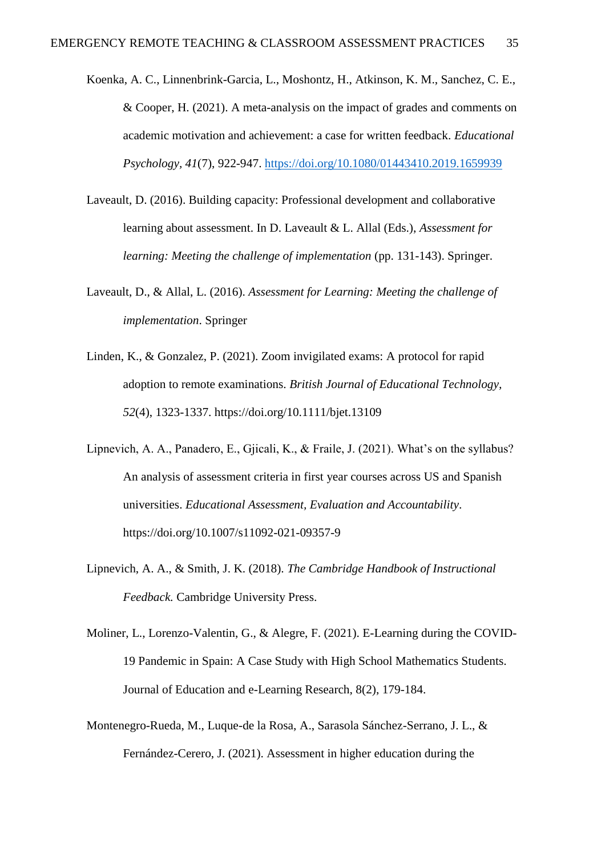- Koenka, A. C., Linnenbrink-Garcia, L., Moshontz, H., Atkinson, K. M., Sanchez, C. E., & Cooper, H. (2021). A meta-analysis on the impact of grades and comments on academic motivation and achievement: a case for written feedback. *Educational Psychology, 41*(7), 922-947.<https://doi.org/10.1080/01443410.2019.1659939>
- Laveault, D. (2016). Building capacity: Professional development and collaborative learning about assessment. In D. Laveault & L. Allal (Eds.), *Assessment for learning: Meeting the challenge of implementation* (pp. 131-143). Springer.
- Laveault, D., & Allal, L. (2016). *Assessment for Learning: Meeting the challenge of implementation*. Springer
- Linden, K., & Gonzalez, P. (2021). Zoom invigilated exams: A protocol for rapid adoption to remote examinations. *British Journal of Educational Technology, 52*(4), 1323-1337. https://doi.org/10.1111/bjet.13109
- Lipnevich, A. A., Panadero, E., Gjicali, K., & Fraile, J. (2021). What's on the syllabus? An analysis of assessment criteria in first year courses across US and Spanish universities. *Educational Assessment, Evaluation and Accountability*. https://doi.org/10.1007/s11092-021-09357-9
- Lipnevich, A. A., & Smith, J. K. (2018). *The Cambridge Handbook of Instructional Feedback.* Cambridge University Press.
- Moliner, L., Lorenzo-Valentin, G., & Alegre, F. (2021). E-Learning during the COVID-19 Pandemic in Spain: A Case Study with High School Mathematics Students. Journal of Education and e-Learning Research, 8(2), 179-184.
- Montenegro-Rueda, M., Luque-de la Rosa, A., Sarasola Sánchez-Serrano, J. L., & Fernández-Cerero, J. (2021). Assessment in higher education during the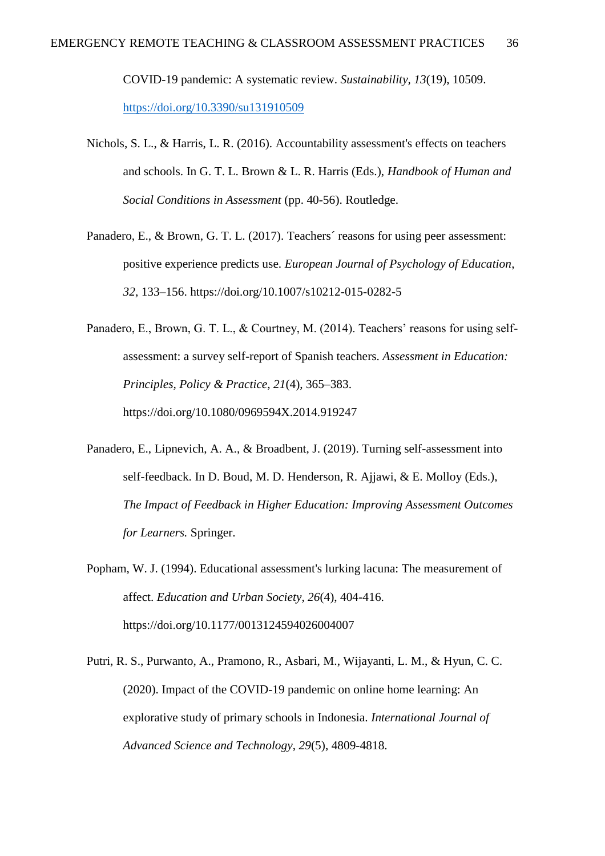COVID-19 pandemic: A systematic review. *Sustainability, 13*(19), 10509. <https://doi.org/10.3390/su131910509>

- Nichols, S. L., & Harris, L. R. (2016). Accountability assessment's effects on teachers and schools. In G. T. L. Brown & L. R. Harris (Eds.), *Handbook of Human and Social Conditions in Assessment* (pp. 40-56). Routledge.
- Panadero, E., & Brown, G. T. L. (2017). Teachers´ reasons for using peer assessment: positive experience predicts use. *European Journal of Psychology of Education*, *32*, 133–156. https://doi.org/10.1007/s10212-015-0282-5
- Panadero, E., Brown, G. T. L., & Courtney, M. (2014). Teachers' reasons for using selfassessment: a survey self-report of Spanish teachers. *Assessment in Education: Principles, Policy & Practice*, *21*(4), 365–383. https://doi.org/10.1080/0969594X.2014.919247
- Panadero, E., Lipnevich, A. A., & Broadbent, J. (2019). Turning self-assessment into self-feedback. In D. Boud, M. D. Henderson, R. Ajjawi, & E. Molloy (Eds.), *The Impact of Feedback in Higher Education: Improving Assessment Outcomes for Learners.* Springer.
- Popham, W. J. (1994). Educational assessment's lurking lacuna: The measurement of affect. *Education and Urban Society*, *26*(4), 404-416. https://doi.org/10.1177/0013124594026004007
- Putri, R. S., Purwanto, A., Pramono, R., Asbari, M., Wijayanti, L. M., & Hyun, C. C. (2020). Impact of the COVID-19 pandemic on online home learning: An explorative study of primary schools in Indonesia. *International Journal of Advanced Science and Technology*, *29*(5), 4809-4818.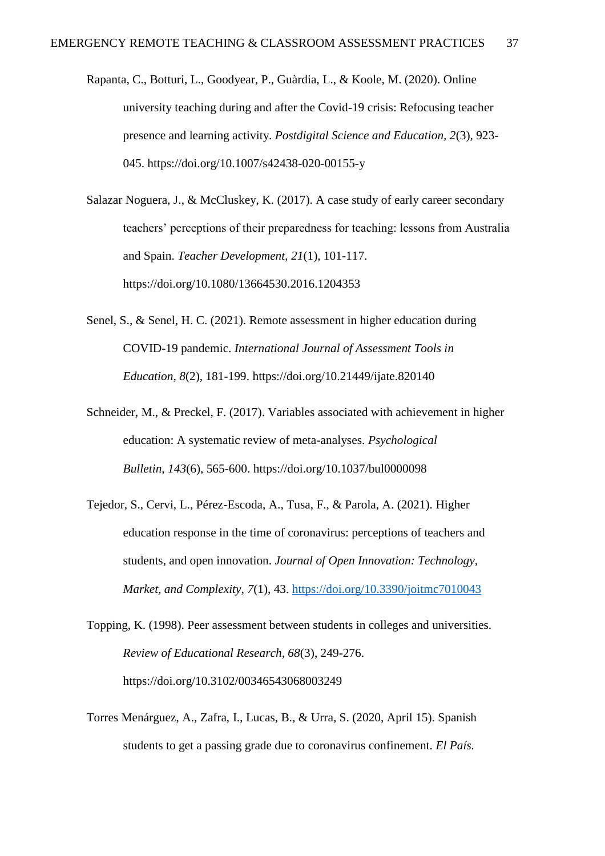- Rapanta, C., Botturi, L., Goodyear, P., Guàrdia, L., & Koole, M. (2020). Online university teaching during and after the Covid-19 crisis: Refocusing teacher presence and learning activity. *Postdigital Science and Education, 2*(3)*,* 923- 045. https://doi.org/10.1007/s42438-020-00155-y
- Salazar Noguera, J., & McCluskey, K. (2017). A case study of early career secondary teachers' perceptions of their preparedness for teaching: lessons from Australia and Spain. *Teacher Development*, *21*(1), 101-117. https://doi.org/10.1080/13664530.2016.1204353
- Senel, S., & Senel, H. C. (2021). Remote assessment in higher education during COVID-19 pandemic. *International Journal of Assessment Tools in Education*, *8*(2), 181-199. https://doi.org/10.21449/ijate.820140
- Schneider, M., & Preckel, F. (2017). Variables associated with achievement in higher education: A systematic review of meta-analyses. *Psychological Bulletin*, *143*(6), 565-600. https://doi.org/10.1037/bul0000098
- Tejedor, S., Cervi, L., Pérez-Escoda, A., Tusa, F., & Parola, A. (2021). Higher education response in the time of coronavirus: perceptions of teachers and students, and open innovation. *Journal of Open Innovation: Technology, Market, and Complexity*, *7*(1), 43.<https://doi.org/10.3390/joitmc7010043>
- Topping, K. (1998). Peer assessment between students in colleges and universities. *Review of Educational Research, 68*(3), 249-276. https://doi.org/10.3102/00346543068003249
- Torres Menárguez, A., Zafra, I., Lucas, B., & Urra, S. (2020, April 15). Spanish students to get a passing grade due to coronavirus confinement. *El País.*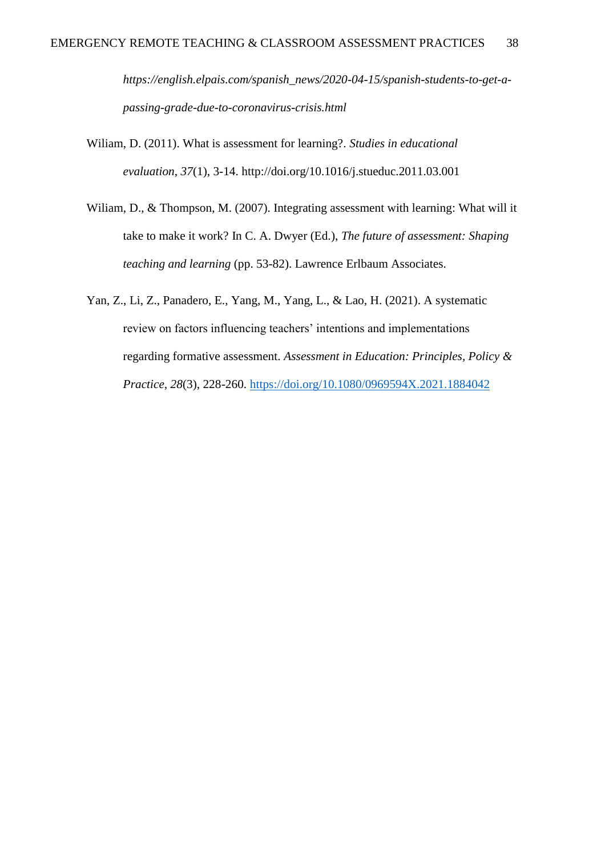*https://english.elpais.com/spanish\_news/2020-04-15/spanish-students-to-get-apassing-grade-due-to-coronavirus-crisis.html*

- Wiliam, D. (2011). What is assessment for learning?. *Studies in educational evaluation*, *37*(1), 3-14. http://doi.org/10.1016/j.stueduc.2011.03.001
- Wiliam, D., & Thompson, M. (2007). Integrating assessment with learning: What will it take to make it work? In C. A. Dwyer (Ed.), *The future of assessment: Shaping teaching and learning* (pp. 53-82). Lawrence Erlbaum Associates.
- Yan, Z., Li, Z., Panadero, E., Yang, M., Yang, L., & Lao, H. (2021). A systematic review on factors influencing teachers' intentions and implementations regarding formative assessment. *Assessment in Education: Principles, Policy & Practice, 28*(3), 228-260.<https://doi.org/10.1080/0969594X.2021.1884042>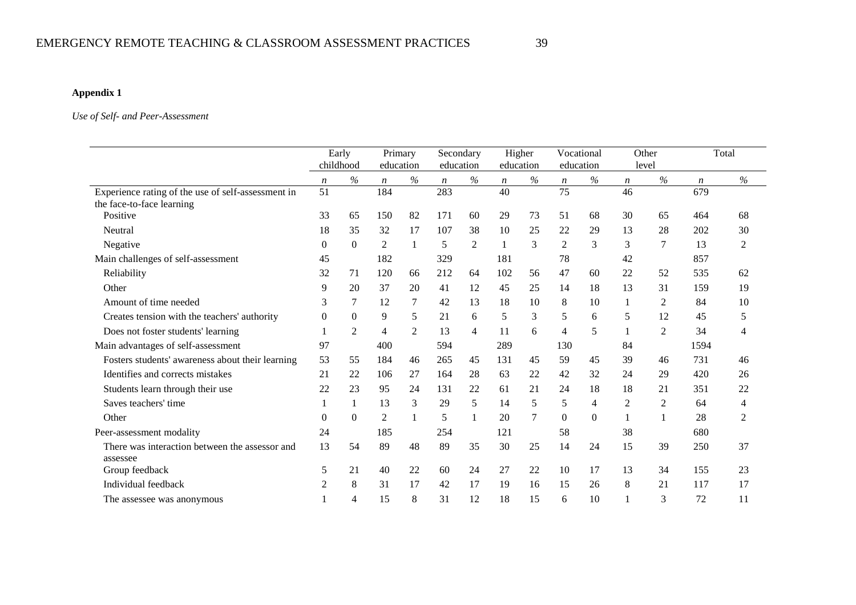#### **Appendix 1**

#### *Use of Self- and Peer-Assessment*

|                                                            |                  | Early<br>childhood |                  | Primary<br>education |                  | Secondary<br>education |                  | Higher<br>education |                  | Vocational<br>education |                  | Other<br>level |                  | Total          |
|------------------------------------------------------------|------------------|--------------------|------------------|----------------------|------------------|------------------------|------------------|---------------------|------------------|-------------------------|------------------|----------------|------------------|----------------|
|                                                            | $\boldsymbol{n}$ | $\%$               | $\boldsymbol{n}$ | $\%$                 | $\boldsymbol{n}$ | $\%$                   | $\boldsymbol{n}$ | $\%$                | $\boldsymbol{n}$ | $\%$                    | $\boldsymbol{n}$ | $\%$           | $\boldsymbol{n}$ | $\%$           |
| Experience rating of the use of self-assessment in         | 51               |                    | 184              |                      | 283              |                        | 40               |                     | 75               |                         | 46               |                | 679              |                |
| the face-to-face learning                                  |                  |                    |                  |                      |                  |                        |                  |                     |                  |                         |                  |                |                  |                |
| Positive                                                   | 33               | 65                 | 150              | 82                   | 171              | 60                     | 29               | 73                  | 51               | 68                      | 30               | 65             | 464              | 68             |
| Neutral                                                    | 18               | 35                 | 32               | 17                   | 107              | 38                     | 10               | 25                  | 22               | 29                      | 13               | 28             | 202              | 30             |
| Negative                                                   | $\overline{0}$   | $\Omega$           | $\overline{2}$   | 1                    | 5                | $\overline{2}$         |                  | 3                   | $\overline{2}$   | 3                       | 3                | 7              | 13               | $\overline{2}$ |
| Main challenges of self-assessment                         | 45               |                    | 182              |                      | 329              |                        | 181              |                     | 78               |                         | 42               |                | 857              |                |
| Reliability                                                | 32               | 71                 | 120              | 66                   | 212              | 64                     | 102              | 56                  | 47               | 60                      | 22               | 52             | 535              | 62             |
| Other                                                      | 9                | 20                 | 37               | 20                   | 41               | 12                     | 45               | 25                  | 14               | 18                      | 13               | 31             | 159              | 19             |
| Amount of time needed                                      | 3                | 7                  | 12               | $\tau$               | 42               | 13                     | 18               | 10                  | 8                | 10                      | 1                | 2              | 84               | 10             |
| Creates tension with the teachers' authority               | $\theta$         | $\Omega$           | 9                | 5                    | 21               | 6                      | 5                | 3                   | 5                | 6                       | 5                | 12             | 45               | 5              |
| Does not foster students' learning                         |                  | $\overline{2}$     | 4                | $\overline{2}$       | 13               | $\overline{4}$         | 11               | 6                   | 4                | 5                       |                  | $\overline{2}$ | 34               | 4              |
| Main advantages of self-assessment                         | 97               |                    | 400              |                      | 594              |                        | 289              |                     | 130              |                         | 84               |                | 1594             |                |
| Fosters students' awareness about their learning           | 53               | 55                 | 184              | 46                   | 265              | 45                     | 131              | 45                  | 59               | 45                      | 39               | 46             | 731              | 46             |
| Identifies and corrects mistakes                           | 21               | 22                 | 106              | 27                   | 164              | 28                     | 63               | 22                  | 42               | 32                      | 24               | 29             | 420              | 26             |
| Students learn through their use                           | 22               | 23                 | 95               | 24                   | 131              | 22                     | 61               | 21                  | 24               | 18                      | 18               | 21             | 351              | 22             |
| Saves teachers' time                                       |                  |                    | 13               | 3                    | 29               | 5                      | 14               | 5                   | 5                | $\overline{4}$          | $\overline{2}$   | 2              | 64               | 4              |
| Other                                                      | $\overline{0}$   | $\Omega$           | 2                | $\mathbf{1}$         | 5                | -1                     | 20               | $\tau$              | $\theta$         | $\Omega$                |                  |                | 28               | $\overline{2}$ |
| Peer-assessment modality                                   | 24               |                    | 185              |                      | 254              |                        | 121              |                     | 58               |                         | 38               |                | 680              |                |
| There was interaction between the assessor and<br>assessee | 13               | 54                 | 89               | 48                   | 89               | 35                     | 30               | 25                  | 14               | 24                      | 15               | 39             | 250              | 37             |
| Group feedback                                             | 5                | 21                 | 40               | 22                   | 60               | 24                     | 27               | 22                  | 10               | 17                      | 13               | 34             | 155              | 23             |
| Individual feedback                                        | 2                | 8                  | 31               | 17                   | 42               | 17                     | 19               | 16                  | 15               | 26                      | 8                | 21             | 117              | 17             |
| The assessee was anonymous                                 |                  | 4                  | 15               | 8                    | 31               | 12                     | 18               | 15                  | 6                | 10                      |                  | 3              | 72               | 11             |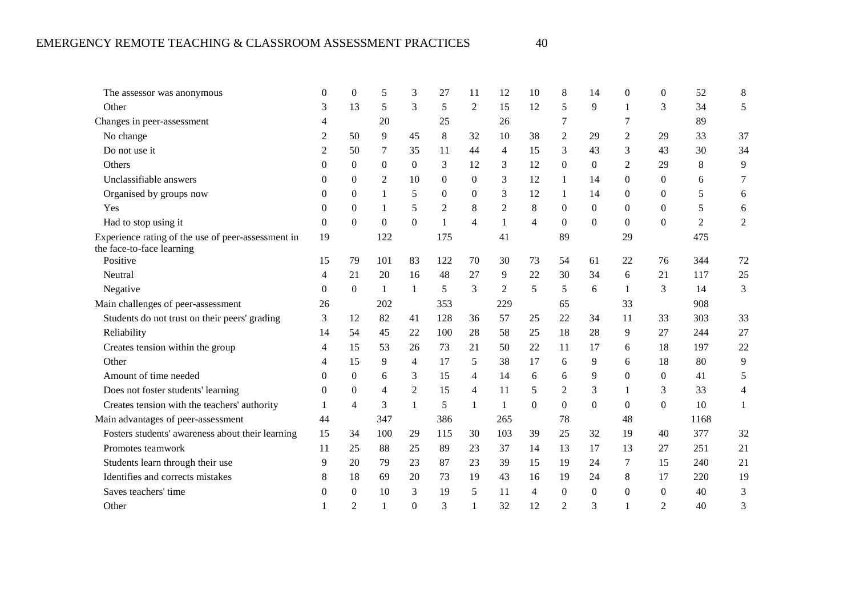| The assessor was anonymous                                                      | $\theta$       | $\overline{0}$ | 5            | 3                | 27           | 11             | 12             | 10             | 8              | 14       | $\overline{0}$ | $\mathbf{0}$   | 52   | 8              |
|---------------------------------------------------------------------------------|----------------|----------------|--------------|------------------|--------------|----------------|----------------|----------------|----------------|----------|----------------|----------------|------|----------------|
| Other                                                                           | 3              | 13             | 5            | 3                | 5            | 2              | 15             | 12             | 5              | 9        | 1              | 3              | 34   | 5              |
| Changes in peer-assessment                                                      | 4              |                | 20           |                  | 25           |                | 26             |                | 7              |          | 7              |                | 89   |                |
| No change                                                                       | $\overline{c}$ | 50             | 9            | 45               | 8            | 32             | 10             | 38             | 2              | 29       | $\overline{c}$ | 29             | 33   | 37             |
| Do not use it                                                                   | $\overline{2}$ | 50             | 7            | 35               | 11           | 44             | 4              | 15             | 3              | 43       | 3              | 43             | 30   | 34             |
| Others                                                                          | $\Omega$       | $\Omega$       | $\Omega$     | $\theta$         | 3            | 12             | 3              | 12             | $\overline{0}$ | $\Omega$ | 2              | 29             | 8    | 9              |
| Unclassifiable answers                                                          | $\Omega$       | $\Omega$       | 2            | 10               | $\Omega$     | $\Omega$       | 3              | 12             | 1              | 14       | $\Omega$       | $\Omega$       | 6    |                |
| Organised by groups now                                                         | $\Omega$       | $\theta$       | 1            | 5                | $\Omega$     | $\Omega$       | 3              | 12             | 1              | 14       | $\mathbf{0}$   | $\Omega$       | 5    | 6              |
| Yes                                                                             | $\Omega$       | $\Omega$       | 1            | 5                | 2            | 8              | 2              | 8              | $\Omega$       | $\Omega$ | $\Omega$       | $\Omega$       | 5    | 6              |
| Had to stop using it                                                            | $\overline{0}$ | $\Omega$       | $\Omega$     | $\boldsymbol{0}$ | $\mathbf{1}$ | $\overline{4}$ | 1              | $\overline{4}$ | $\Omega$       | $\Omega$ | $\Omega$       | $\theta$       | 2    | $\overline{2}$ |
| Experience rating of the use of peer-assessment in<br>the face-to-face learning | 19             |                | 122          |                  | 175          |                | 41             |                | 89             |          | 29             |                | 475  |                |
| Positive                                                                        | 15             | 79             | 101          | 83               | 122          | 70             | 30             | 73             | 54             | 61       | 22             | 76             | 344  | 72             |
| Neutral                                                                         | 4              | 21             | 20           | 16               | 48           | 27             | 9              | 22             | 30             | 34       | 6              | 21             | 117  | 25             |
| Negative                                                                        | $\overline{0}$ | $\Omega$       | $\mathbf{1}$ | 1                | 5            | 3              | $\overline{2}$ | 5              | 5              | 6        | 1              | 3              | 14   | 3              |
| Main challenges of peer-assessment                                              | 26             |                | 202          |                  | 353          |                | 229            |                | 65             |          | 33             |                | 908  |                |
| Students do not trust on their peers' grading                                   | 3              | 12             | 82           | 41               | 128          | 36             | 57             | 25             | 22             | 34       | 11             | 33             | 303  | 33             |
| Reliability                                                                     | 14             | 54             | 45           | 22               | 100          | 28             | 58             | 25             | 18             | 28       | 9              | 27             | 244  | 27             |
| Creates tension within the group                                                | $\overline{4}$ | 15             | 53           | 26               | 73           | 21             | 50             | 22             | 11             | 17       | 6              | 18             | 197  | 22             |
| Other                                                                           | 4              | 15             | 9            | $\overline{4}$   | 17           | 5              | 38             | 17             | 6              | 9        | 6              | 18             | 80   | 9              |
| Amount of time needed                                                           | $\Omega$       | $\overline{0}$ | 6            | 3                | 15           | $\overline{4}$ | 14             | 6              | 6              | 9        | $\overline{0}$ | $\mathbf{0}$   | 41   | 5              |
| Does not foster students' learning                                              | $\Omega$       | $\overline{0}$ | 4            | $\overline{2}$   | 15           | $\overline{4}$ | 11             | 5              | 2              | 3        | 1              | 3              | 33   | 4              |
| Creates tension with the teachers' authority                                    | 1              | $\overline{4}$ | 3            | 1                | 5            | $\mathbf{1}$   | 1              | $\Omega$       | $\Omega$       | $\Omega$ | $\Omega$       | $\Omega$       | 10   | 1              |
| Main advantages of peer-assessment                                              | 44             |                | 347          |                  | 386          |                | 265            |                | 78             |          | 48             |                | 1168 |                |
| Fosters students' awareness about their learning                                | 15             | 34             | 100          | 29               | 115          | 30             | 103            | 39             | 25             | 32       | 19             | 40             | 377  | 32             |
| Promotes teamwork                                                               | 11             | 25             | 88           | 25               | 89           | 23             | 37             | 14             | 13             | 17       | 13             | 27             | 251  | 21             |
| Students learn through their use                                                | 9              | 20             | 79           | 23               | 87           | 23             | 39             | 15             | 19             | 24       | 7              | 15             | 240  | 21             |
| Identifies and corrects mistakes                                                | 8              | 18             | 69           | 20               | 73           | 19             | 43             | 16             | 19             | 24       | 8              | 17             | 220  | 19             |
| Saves teachers' time                                                            | $\Omega$       | $\overline{0}$ | 10           | 3                | 19           | 5              | 11             | 4              | $\Omega$       | $\Omega$ | $\theta$       | $\Omega$       | 40   | 3              |
| Other                                                                           |                | 2              | 1            | $\mathbf{0}$     | 3            |                | 32             | 12             | 2              | 3        | 1              | $\overline{2}$ | 40   | 3              |
|                                                                                 |                |                |              |                  |              |                |                |                |                |          |                |                |      |                |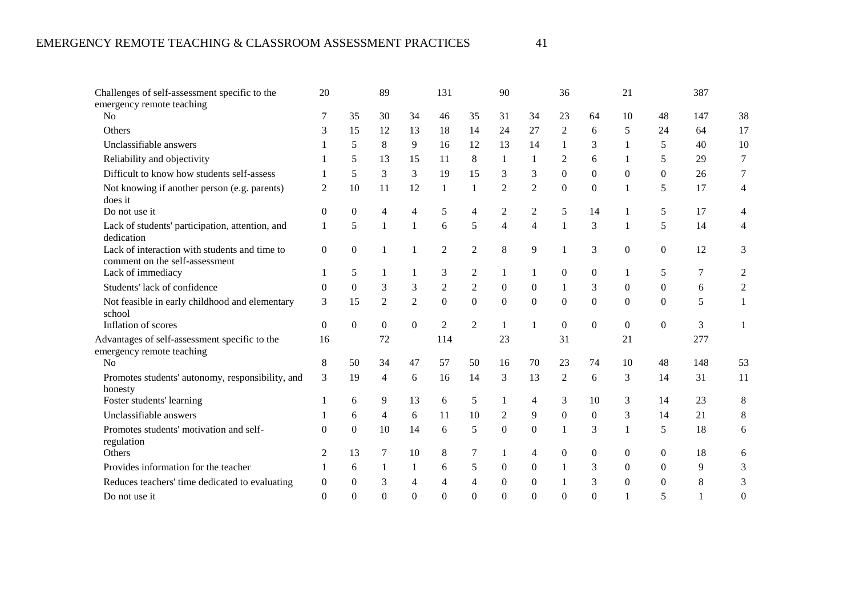| Challenges of self-assessment specific to the                                   | 20             |          | 89             |                | 131              |                | 90               |                | 36             |              | 21               |              | 387 |          |
|---------------------------------------------------------------------------------|----------------|----------|----------------|----------------|------------------|----------------|------------------|----------------|----------------|--------------|------------------|--------------|-----|----------|
| emergency remote teaching<br>N <sub>0</sub>                                     | 7              | 35       | 30             | 34             | 46               | 35             | 31               | 34             | 23             | 64           | 10               | 48           | 147 | 38       |
|                                                                                 |                |          |                |                |                  |                |                  |                |                |              |                  |              |     |          |
| Others                                                                          | 3              | 15       | 12             | 13             | 18               | 14             | 24               | 27             | $\overline{2}$ | 6            | 5                | 24           | 64  | 17       |
| Unclassifiable answers                                                          |                | 5        | 8              | 9              | 16               | 12             | 13               | 14             |                | 3            | 1                | 5            | 40  | 10       |
| Reliability and objectivity                                                     |                | 5        | 13             | 15             | 11               | 8              | 1                | 1              | 2              | 6            |                  | 5            | 29  | 7        |
| Difficult to know how students self-assess                                      |                | 5        | 3              | 3              | 19               | 15             | 3                | 3              | $\Omega$       | $\Omega$     | $\theta$         | $\Omega$     | 26  |          |
| Not knowing if another person (e.g. parents)<br>does it                         | $\overline{c}$ | 10       | 11             | 12             | -1               | 1              | $\overline{2}$   | $\overline{2}$ | $\Omega$       | $\Omega$     | 1                | 5            | 17  | 4        |
| Do not use it                                                                   | $\overline{0}$ | $\Omega$ |                | 4              | 5                | 4              | 2                | $\overline{c}$ | 5              | 14           |                  | 5            | 17  |          |
| Lack of students' participation, attention, and<br>dedication                   | 1              | 5        | 1              | $\mathbf{1}$   | 6                | 5              | $\overline{4}$   | $\overline{4}$ | 1              | 3            | $\mathbf{1}$     | 5            | 14  | 4        |
| Lack of interaction with students and time to<br>comment on the self-assessment | $\Omega$       | $\Omega$ |                | 1              | $\overline{2}$   | $\overline{2}$ | 8                | 9              |                | 3            | $\boldsymbol{0}$ | $\Omega$     | 12  | 3        |
| Lack of immediacy                                                               |                | 5        |                | 1              | 3                | 2              | 1                | 1              | $\overline{0}$ | $\theta$     |                  | 5            | 7   | 2        |
| Students' lack of confidence                                                    | 0              | $\Omega$ | 3              | 3              | $\boldsymbol{2}$ | $\overline{c}$ | $\Omega$         | $\overline{0}$ | 1              | 3            | $\theta$         | $\Omega$     | 6   | 2        |
| Not feasible in early childhood and elementary<br>school                        | 3              | 15       | $\mathfrak{2}$ | $\overline{2}$ | $\overline{0}$   | $\Omega$       | $\mathbf{0}$     | $\Omega$       | $\Omega$       | $\theta$     | $\theta$         | $\Omega$     | 5   | 1        |
| Inflation of scores                                                             | $\Omega$       | $\Omega$ | $\overline{0}$ | $\mathbf{0}$   | $\overline{c}$   | 2              | 1                | 1              | $\overline{0}$ | $\Omega$     | $\mathbf{0}$     | $\mathbf{0}$ | 3   |          |
| Advantages of self-assessment specific to the<br>emergency remote teaching      | 16             |          | 72             |                | 114              |                | 23               |                | 31             |              | 21               |              | 277 |          |
| N <sub>o</sub>                                                                  | 8              | 50       | 34             | 47             | 57               | 50             | 16               | 70             | 23             | 74           | 10               | 48           | 148 | 53       |
| Promotes students' autonomy, responsibility, and<br>honesty                     | 3              | 19       | 4              | 6              | 16               | 14             | 3                | 13             | 2              | 6            | 3                | 14           | 31  | 11       |
| Foster students' learning                                                       |                | 6        | 9              | 13             | 6                | 5              | $\mathbf{1}$     | $\overline{4}$ | 3              | 10           | 3                | 14           | 23  | 8        |
| Unclassifiable answers                                                          |                | 6        | 4              | 6              | 11               | 10             | 2                | 9              | $\Omega$       | $\Omega$     | 3                | 14           | 21  | 8        |
| Promotes students' motivation and self-<br>regulation                           | 0              | $\Omega$ | 10             | 14             | 6                | 5              | $\boldsymbol{0}$ | $\overline{0}$ | 1              | 3            | 1                | 5            | 18  | 6        |
| Others                                                                          | 2              | 13       | 7              | 10             | 8                | 7              | 1                | 4              | $\overline{0}$ | $\mathbf{0}$ | $\mathbf{0}$     | $\mathbf{0}$ | 18  | 6        |
| Provides information for the teacher                                            |                | 6        |                | $\mathbf{1}$   | 6                | 5              | $\theta$         | $\Omega$       |                | 3            | $\Omega$         | $\Omega$     | 9   | 3        |
| Reduces teachers' time dedicated to evaluating                                  | 0              | $\Omega$ | 3              | 4              | 4                | 4              | $\theta$         | $\mathbf{0}$   |                | 3            | $\Omega$         | $\Omega$     | 8   | 3        |
| Do not use it                                                                   | $\Omega$       | $\Omega$ | $\Omega$       | $\theta$       | $\Omega$         | $\Omega$       | $\theta$         | 0              | $\Omega$       | $\theta$     | 1                | 5            |     | $\theta$ |